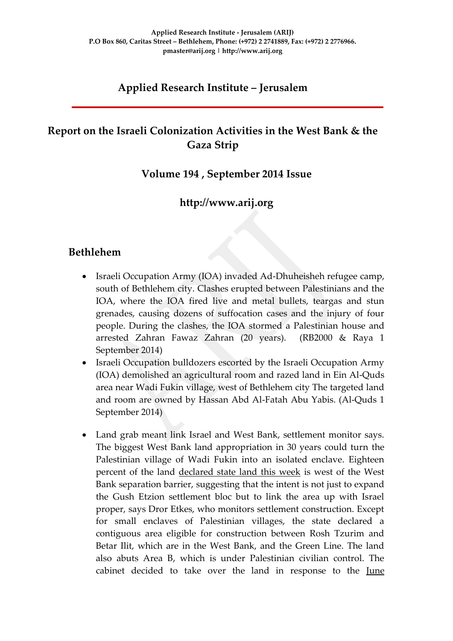# **Applied Research Institute – Jerusalem**

# **Report on the Israeli Colonization Activities in the West Bank & the Gaza Strip**

### **Volume 194 , September 2014 Issue**

### **http://www.arij.org**

### **Bethlehem**

- Israeli Occupation Army (IOA) invaded Ad-Dhuheisheh refugee camp, south of Bethlehem city. Clashes erupted between Palestinians and the IOA, where the IOA fired live and metal bullets, teargas and stun grenades, causing dozens of suffocation cases and the injury of four people. During the clashes, the IOA stormed a Palestinian house and arrested Zahran Fawaz Zahran (20 years). (RB2000 & Raya 1 September 2014)
- Israeli Occupation bulldozers escorted by the Israeli Occupation Army (IOA) demolished an agricultural room and razed land in Ein Al-Quds area near Wadi Fukin village, west of Bethlehem city The targeted land and room are owned by Hassan Abd Al-Fatah Abu Yabis. (Al-Quds 1 September 2014)
- Land grab meant link Israel and West Bank, settlement monitor says. The biggest West Bank land appropriation in 30 years could turn the Palestinian village of Wadi Fukin into an isolated enclave. Eighteen percent of the land [declared state land this week](http://www.haaretz.com/news/diplomacy-defense/.premium-1.613319) is west of the West Bank separation barrier, suggesting that the intent is not just to expand the Gush Etzion settlement bloc but to link the area up with Israel proper, says Dror Etkes, who monitors settlement construction. Except for small enclaves of Palestinian villages, the state declared a contiguous area eligible for construction between Rosh Tzurim and Betar Ilit, which are in the West Bank, and the Green Line. The land also abuts Area B, which is under Palestinian civilian control. The cabinet decided to take over the land in response to the [June](http://www.haaretz.com/misc/tags/West%20Bank%20kidnapping-1.599015)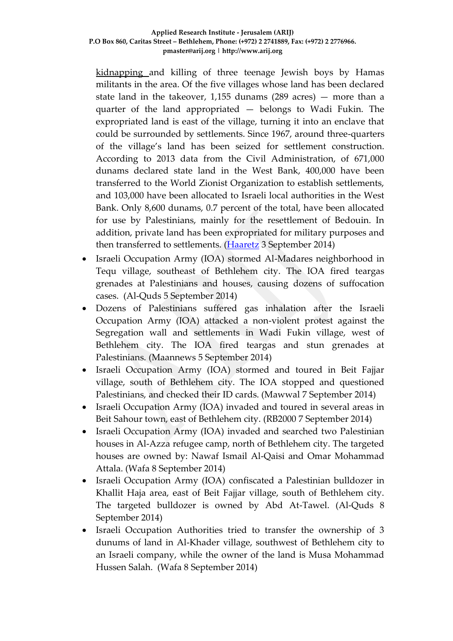[kidnapping a](http://www.haaretz.com/misc/tags/West%20Bank%20kidnapping-1.599015)nd killing of three teenage Jewish boys by Hamas militants in the area. Of the five villages whose land has been declared state land in the takeover, 1,155 dunams (289 acres) — more than a quarter of the land appropriated — belongs to Wadi Fukin. The expropriated land is east of the village, turning it into an enclave that could be surrounded by settlements. Since 1967, around three-quarters of the village's land has been seized for settlement construction. According to 2013 data from the Civil Administration, of 671,000 dunams declared state land in the West Bank, 400,000 have been transferred to the World Zionist Organization to establish settlements, and 103,000 have been allocated to Israeli local authorities in the West Bank. Only 8,600 dunams, 0.7 percent of the total, have been allocated for use by Palestinians, mainly for the resettlement of Bedouin. In addition, private land has been expropriated for military purposes and then transferred to settlements. [\(Haaretz](http://www.haaretz.com/news/diplomacy-defense/.premium-1.613852) 3 September 2014)

- Israeli Occupation Army (IOA) stormed Al-Madares neighborhood in Tequ village, southeast of Bethlehem city. The IOA fired teargas grenades at Palestinians and houses, causing dozens of suffocation cases. (Al-Quds 5 September 2014)
- Dozens of Palestinians suffered gas inhalation after the Israeli Occupation Army (IOA) attacked a non-violent protest against the Segregation wall and settlements in Wadi Fukin village, west of Bethlehem city. The IOA fired teargas and stun grenades at Palestinians. (Maannews 5 September 2014)
- Israeli Occupation Army (IOA) stormed and toured in Beit Fajjar village, south of Bethlehem city. The IOA stopped and questioned Palestinians, and checked their ID cards. (Mawwal 7 September 2014)
- Israeli Occupation Army (IOA) invaded and toured in several areas in Beit Sahour town, east of Bethlehem city. (RB2000 7 September 2014)
- Israeli Occupation Army (IOA) invaded and searched two Palestinian houses in Al-Azza refugee camp, north of Bethlehem city. The targeted houses are owned by: Nawaf Ismail Al-Qaisi and Omar Mohammad Attala. (Wafa 8 September 2014)
- Israeli Occupation Army (IOA) confiscated a Palestinian bulldozer in Khallit Haja area, east of Beit Fajjar village, south of Bethlehem city. The targeted bulldozer is owned by Abd At-Tawel. (Al-Quds 8 September 2014)
- Israeli Occupation Authorities tried to transfer the ownership of 3 dunums of land in Al-Khader village, southwest of Bethlehem city to an Israeli company, while the owner of the land is Musa Mohammad Hussen Salah. (Wafa 8 September 2014)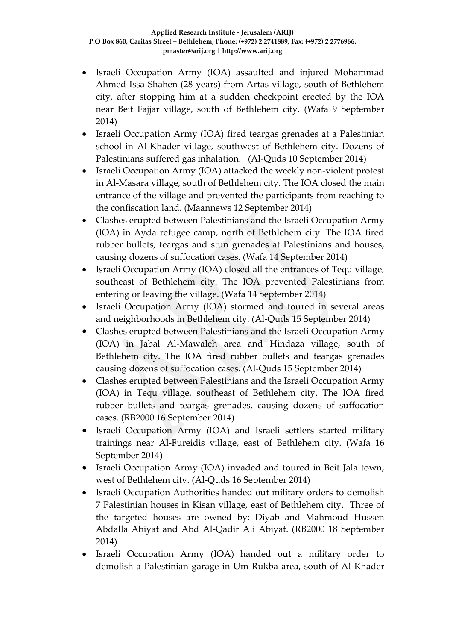- Israeli Occupation Army (IOA) assaulted and injured Mohammad Ahmed Issa Shahen (28 years) from Artas village, south of Bethlehem city, after stopping him at a sudden checkpoint erected by the IOA near Beit Fajjar village, south of Bethlehem city. (Wafa 9 September 2014)
- Israeli Occupation Army (IOA) fired teargas grenades at a Palestinian school in Al-Khader village, southwest of Bethlehem city. Dozens of Palestinians suffered gas inhalation. (Al-Quds 10 September 2014)
- Israeli Occupation Army (IOA) attacked the weekly non-violent protest in Al-Masara village, south of Bethlehem city. The IOA closed the main entrance of the village and prevented the participants from reaching to the confiscation land. (Maannews 12 September 2014)
- Clashes erupted between Palestinians and the Israeli Occupation Army (IOA) in Ayda refugee camp, north of Bethlehem city. The IOA fired rubber bullets, teargas and stun grenades at Palestinians and houses, causing dozens of suffocation cases. (Wafa 14 September 2014)
- Israeli Occupation Army (IOA) closed all the entrances of Tequ village, southeast of Bethlehem city. The IOA prevented Palestinians from entering or leaving the village. (Wafa 14 September 2014)
- Israeli Occupation Army (IOA) stormed and toured in several areas and neighborhoods in Bethlehem city. (Al-Quds 15 September 2014)
- Clashes erupted between Palestinians and the Israeli Occupation Army (IOA) in Jabal Al-Mawaleh area and Hindaza village, south of Bethlehem city. The IOA fired rubber bullets and teargas grenades causing dozens of suffocation cases. (Al-Quds 15 September 2014)
- Clashes erupted between Palestinians and the Israeli Occupation Army (IOA) in Tequ village, southeast of Bethlehem city. The IOA fired rubber bullets and teargas grenades, causing dozens of suffocation cases. (RB2000 16 September 2014)
- Israeli Occupation Army (IOA) and Israeli settlers started military trainings near Al-Fureidis village, east of Bethlehem city. (Wafa 16 September 2014)
- Israeli Occupation Army (IOA) invaded and toured in Beit Jala town, west of Bethlehem city. (Al-Quds 16 September 2014)
- Israeli Occupation Authorities handed out military orders to demolish 7 Palestinian houses in Kisan village, east of Bethlehem city. Three of the targeted houses are owned by: Diyab and Mahmoud Hussen Abdalla Abiyat and Abd Al-Qadir Ali Abiyat. (RB2000 18 September 2014)
- Israeli Occupation Army (IOA) handed out a military order to demolish a Palestinian garage in Um Rukba area, south of Al-Khader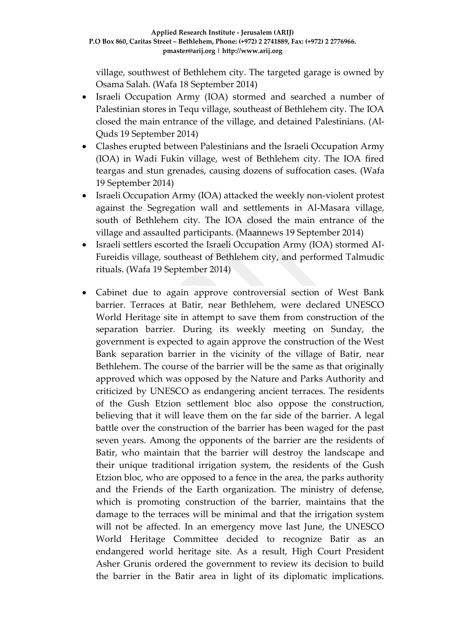village, southwest of Bethlehem city. The targeted garage is owned by Osama Salah. (Wafa 18 September 2014)

- Israeli Occupation Army (IOA) stormed and searched a number of Palestinian stores in Tequ village, southeast of Bethlehem city. The IOA closed the main entrance of the village, and detained Palestinians. (Al-Quds 19 September 2014)
- Clashes erupted between Palestinians and the Israeli Occupation Army (IOA) in Wadi Fukin village, west of Bethlehem city. The IOA fired teargas and stun grenades, causing dozens of suffocation cases. (Wafa 19 September 2014)
- Israeli Occupation Army (IOA) attacked the weekly non-violent protest against the Segregation wall and settlements in Al-Masara village, south of Bethlehem city. The IOA closed the main entrance of the village and assaulted participants. (Maannews 19 September 2014)
- Israeli settlers escorted the Israeli Occupation Army (IOA) stormed Al-Fureidis village, southeast of Bethlehem city, and performed Talmudic rituals. (Wafa 19 September 2014)
- Cabinet due to again approve controversial section of West Bank barrier. Terraces at Batir, near Bethlehem, were declared UNESCO World Heritage site in attempt to save them from construction of the separation barrier. During its weekly meeting on Sunday, the government is expected to again approve the construction of the West Bank separation barrier in the vicinity of the village of Batir, near Bethlehem. The course of the barrier will be the same as that originally approved which was opposed by the Nature and Parks Authority and criticized by UNESCO as endangering ancient terraces. The residents of the Gush Etzion settlement bloc also oppose the construction, believing that it will leave them on the far side of the barrier. A legal battle over the construction of the barrier has been waged for the past seven years. Among the opponents of the barrier are the residents of Batir, who maintain that the barrier will destroy the landscape and their unique traditional irrigation system, the residents of the Gush Etzion bloc, who are opposed to a fence in the area, the parks authority and the Friends of the Earth organization. The ministry of defense, which is promoting construction of the barrier, maintains that the damage to the terraces will be minimal and that the irrigation system will not be affected. In an emergency move last June, the UNESCO World Heritage Committee decided to recognize Batir as an endangered world heritage site. As a result, High Court President Asher Grunis ordered the government to review its decision to build the barrier in the Batir area in light of its diplomatic implications.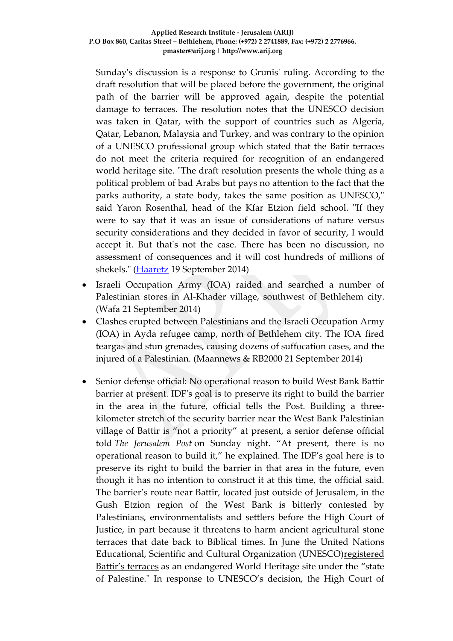Sunday's discussion is a response to Grunis' ruling. According to the draft resolution that will be placed before the government, the original path of the barrier will be approved again, despite the potential damage to terraces. The resolution notes that the UNESCO decision was taken in Qatar, with the support of countries such as Algeria, Qatar, Lebanon, Malaysia and Turkey, and was contrary to the opinion of a UNESCO professional group which stated that the Batir terraces do not meet the criteria required for recognition of an endangered world heritage site. "The draft resolution presents the whole thing as a political problem of bad Arabs but pays no attention to the fact that the parks authority, a state body, takes the same position as UNESCO," said Yaron Rosenthal, head of the Kfar Etzion field school. "If they were to say that it was an issue of considerations of nature versus security considerations and they decided in favor of security, I would accept it. But that's not the case. There has been no discussion, no assessment of consequences and it will cost hundreds of millions of shekels." [\(Haaretz](http://www.haaretz.com/news/diplomacy-defense/.premium-1.616634) 19 September 2014)

- Israeli Occupation Army (IOA) raided and searched a number of Palestinian stores in Al-Khader village, southwest of Bethlehem city. (Wafa 21 September 2014)
- Clashes erupted between Palestinians and the Israeli Occupation Army (IOA) in Ayda refugee camp, north of Bethlehem city. The IOA fired teargas and stun grenades, causing dozens of suffocation cases, and the injured of a Palestinian. (Maannews & RB2000 21 September 2014)
- Senior defense official: No operational reason to build West Bank Battir barrier at present. IDF's goal is to preserve its right to build the barrier in the area in the future, official tells the Post. Building a threekilometer stretch of the security barrier near the West Bank Palestinian village of Battir is "not a priority" at present, a senior defense official told *The Jerusalem Post* on Sunday night. "At present, there is no operational reason to build it," he explained. The IDF's goal here is to preserve its right to build the barrier in that area in the future, even though it has no intention to construct it at this time, the official said. The barrier's route near Battir, located just outside of Jerusalem, in the Gush Etzion region of the West Bank is bitterly contested by Palestinians, environmentalists and settlers before the High Court of Justice, in part because it threatens to harm ancient agricultural stone terraces that date back to Biblical times. In June the United Nations Educational, Scientific and Cultural Organization (UNESCO[\)registered](http://www.jpost.com/Diplomacy-and-Politics/Battir-becomes-second-World-Heritage-site-registered-to-under-Palestine-360121) Battir's [terraces](http://www.jpost.com/Diplomacy-and-Politics/Battir-becomes-second-World-Heritage-site-registered-to-under-Palestine-360121) as an endangered World Heritage site under the "state of Palestine." In response to UNESCO's decision, the High Court of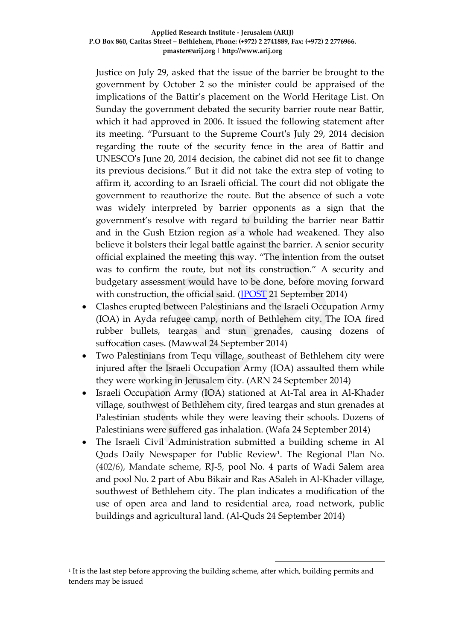Justice on July 29, asked that the issue of the barrier be brought to the government by October 2 so the minister could be appraised of the implications of the Battir's placement on the World Heritage List. On Sunday the government debated the security barrier route near Battir, which it had approved in 2006. It issued the following statement after its meeting. "Pursuant to the Supreme Court's July 29, 2014 decision regarding the route of the security fence in the area of Battir and UNESCO's June 20, 2014 decision, the cabinet did not see fit to change its previous decisions." But it did not take the extra step of voting to affirm it, according to an Israeli official. The court did not obligate the government to reauthorize the route. But the absence of such a vote was widely interpreted by barrier opponents as a sign that the government's resolve with regard to building the barrier near Battir and in the Gush Etzion region as a whole had weakened. They also believe it bolsters their legal battle against the barrier. A senior security official explained the meeting this way. "The intention from the outset was to confirm the route, but not its construction." A security and budgetary assessment would have to be done, before moving forward with construction, the official said. (*JPOST* 21 September 2014)

- Clashes erupted between Palestinians and the Israeli Occupation Army (IOA) in Ayda refugee camp, north of Bethlehem city. The IOA fired rubber bullets, teargas and stun grenades, causing dozens of suffocation cases. (Mawwal 24 September 2014)
- Two Palestinians from Tequ village, southeast of Bethlehem city were injured after the Israeli Occupation Army (IOA) assaulted them while they were working in Jerusalem city. (ARN 24 September 2014)
- Israeli Occupation Army (IOA) stationed at At-Tal area in Al-Khader village, southwest of Bethlehem city, fired teargas and stun grenades at Palestinian students while they were leaving their schools. Dozens of Palestinians were suffered gas inhalation. (Wafa 24 September 2014)
- The Israeli Civil Administration submitted a building scheme in Al Quds Daily Newspaper for Public Review**<sup>1</sup>** . The Regional Plan No. (402/6), Mandate scheme, RJ-5, pool No. 4 parts of Wadi Salem area and pool No. 2 part of Abu Bikair and Ras ASaleh in Al-Khader village, southwest of Bethlehem city. The plan indicates a modification of the use of open area and land to residential area, road network, public buildings and agricultural land. (Al-Quds 24 September 2014)

1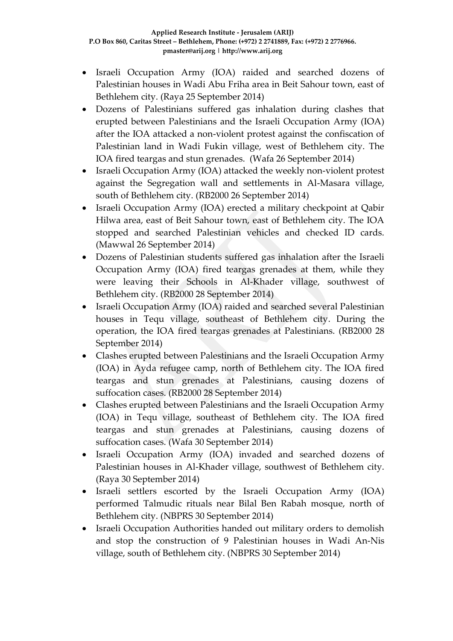- Israeli Occupation Army (IOA) raided and searched dozens of Palestinian houses in Wadi Abu Friha area in Beit Sahour town, east of Bethlehem city. (Raya 25 September 2014)
- Dozens of Palestinians suffered gas inhalation during clashes that erupted between Palestinians and the Israeli Occupation Army (IOA) after the IOA attacked a non-violent protest against the confiscation of Palestinian land in Wadi Fukin village, west of Bethlehem city. The IOA fired teargas and stun grenades. (Wafa 26 September 2014)
- Israeli Occupation Army (IOA) attacked the weekly non-violent protest against the Segregation wall and settlements in Al-Masara village, south of Bethlehem city. (RB2000 26 September 2014)
- Israeli Occupation Army (IOA) erected a military checkpoint at Qabir Hilwa area, east of Beit Sahour town, east of Bethlehem city. The IOA stopped and searched Palestinian vehicles and checked ID cards. (Mawwal 26 September 2014)
- Dozens of Palestinian students suffered gas inhalation after the Israeli Occupation Army (IOA) fired teargas grenades at them, while they were leaving their Schools in Al-Khader village, southwest of Bethlehem city. (RB2000 28 September 2014)
- Israeli Occupation Army (IOA) raided and searched several Palestinian houses in Tequ village, southeast of Bethlehem city. During the operation, the IOA fired teargas grenades at Palestinians. (RB2000 28 September 2014)
- Clashes erupted between Palestinians and the Israeli Occupation Army (IOA) in Ayda refugee camp, north of Bethlehem city. The IOA fired teargas and stun grenades at Palestinians, causing dozens of suffocation cases. (RB2000 28 September 2014)
- Clashes erupted between Palestinians and the Israeli Occupation Army (IOA) in Tequ village, southeast of Bethlehem city. The IOA fired teargas and stun grenades at Palestinians, causing dozens of suffocation cases. (Wafa 30 September 2014)
- Israeli Occupation Army (IOA) invaded and searched dozens of Palestinian houses in Al-Khader village, southwest of Bethlehem city. (Raya 30 September 2014)
- Israeli settlers escorted by the Israeli Occupation Army (IOA) performed Talmudic rituals near Bilal Ben Rabah mosque, north of Bethlehem city. (NBPRS 30 September 2014)
- Israeli Occupation Authorities handed out military orders to demolish and stop the construction of 9 Palestinian houses in Wadi An-Nis village, south of Bethlehem city. (NBPRS 30 September 2014)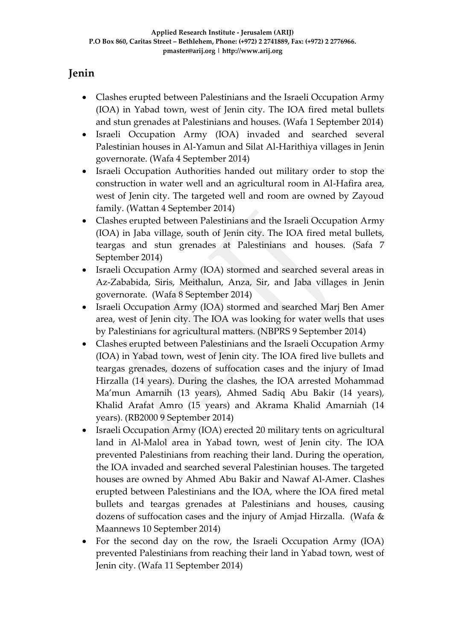# **Jenin**

- Clashes erupted between Palestinians and the Israeli Occupation Army (IOA) in Yabad town, west of Jenin city. The IOA fired metal bullets and stun grenades at Palestinians and houses. (Wafa 1 September 2014)
- Israeli Occupation Army (IOA) invaded and searched several Palestinian houses in Al-Yamun and Silat Al-Harithiya villages in Jenin governorate. (Wafa 4 September 2014)
- Israeli Occupation Authorities handed out military order to stop the construction in water well and an agricultural room in Al-Hafira area, west of Jenin city. The targeted well and room are owned by Zayoud family. (Wattan 4 September 2014)
- Clashes erupted between Palestinians and the Israeli Occupation Army (IOA) in Jaba village, south of Jenin city. The IOA fired metal bullets, teargas and stun grenades at Palestinians and houses. (Safa 7 September 2014)
- Israeli Occupation Army (IOA) stormed and searched several areas in Az-Zababida, Siris, Meithalun, Anza, Sir, and Jaba villages in Jenin governorate. (Wafa 8 September 2014)
- Israeli Occupation Army (IOA) stormed and searched Marj Ben Amer area, west of Jenin city. The IOA was looking for water wells that uses by Palestinians for agricultural matters. (NBPRS 9 September 2014)
- Clashes erupted between Palestinians and the Israeli Occupation Army (IOA) in Yabad town, west of Jenin city. The IOA fired live bullets and teargas grenades, dozens of suffocation cases and the injury of Imad Hirzalla (14 years). During the clashes, the IOA arrested Mohammad Ma'mun Amarnih (13 years), Ahmed Sadiq Abu Bakir (14 years), Khalid Arafat Amro (15 years) and Akrama Khalid Amarniah (14 years). (RB2000 9 September 2014)
- Israeli Occupation Army (IOA) erected 20 military tents on agricultural land in Al-Malol area in Yabad town, west of Jenin city. The IOA prevented Palestinians from reaching their land. During the operation, the IOA invaded and searched several Palestinian houses. The targeted houses are owned by Ahmed Abu Bakir and Nawaf Al-Amer. Clashes erupted between Palestinians and the IOA, where the IOA fired metal bullets and teargas grenades at Palestinians and houses, causing dozens of suffocation cases and the injury of Amjad Hirzalla. (Wafa & Maannews 10 September 2014)
- For the second day on the row, the Israeli Occupation Army (IOA) prevented Palestinians from reaching their land in Yabad town, west of Jenin city. (Wafa 11 September 2014)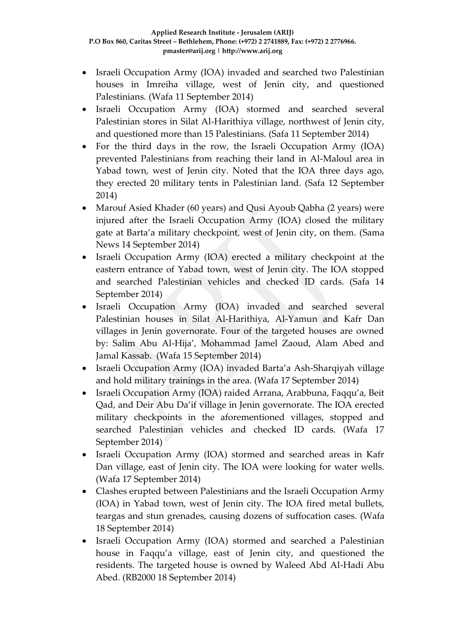- Israeli Occupation Army (IOA) invaded and searched two Palestinian houses in Imreiha village, west of Jenin city, and questioned Palestinians. (Wafa 11 September 2014)
- Israeli Occupation Army (IOA) stormed and searched several Palestinian stores in Silat Al-Harithiya village, northwest of Jenin city, and questioned more than 15 Palestinians. (Safa 11 September 2014)
- For the third days in the row, the Israeli Occupation Army (IOA) prevented Palestinians from reaching their land in Al-Maloul area in Yabad town, west of Jenin city. Noted that the IOA three days ago, they erected 20 military tents in Palestinian land. (Safa 12 September 2014)
- Marouf Asied Khader (60 years) and Qusi Ayoub Qabha (2 years) were injured after the Israeli Occupation Army (IOA) closed the military gate at Barta'a military checkpoint, west of Jenin city, on them. (Sama News 14 September 2014)
- Israeli Occupation Army (IOA) erected a military checkpoint at the eastern entrance of Yabad town, west of Jenin city. The IOA stopped and searched Palestinian vehicles and checked ID cards. (Safa 14 September 2014)
- Israeli Occupation Army (IOA) invaded and searched several Palestinian houses in Silat Al-Harithiya, Al-Yamun and Kafr Dan villages in Jenin governorate. Four of the targeted houses are owned by: Salim Abu Al-Hija', Mohammad Jamel Zaoud, Alam Abed and Jamal Kassab. (Wafa 15 September 2014)
- Israeli Occupation Army (IOA) invaded Barta'a Ash-Sharqiyah village and hold military trainings in the area. (Wafa 17 September 2014)
- Israeli Occupation Army (IOA) raided Arrana, Arabbuna, Faqqu'a, Beit Qad, and Deir Abu Da'if village in Jenin governorate. The IOA erected military checkpoints in the aforementioned villages, stopped and searched Palestinian vehicles and checked ID cards. (Wafa 17 September 2014)
- Israeli Occupation Army (IOA) stormed and searched areas in Kafr Dan village, east of Jenin city. The IOA were looking for water wells. (Wafa 17 September 2014)
- Clashes erupted between Palestinians and the Israeli Occupation Army (IOA) in Yabad town, west of Jenin city. The IOA fired metal bullets, teargas and stun grenades, causing dozens of suffocation cases. (Wafa 18 September 2014)
- Israeli Occupation Army (IOA) stormed and searched a Palestinian house in Faqqu'a village, east of Jenin city, and questioned the residents. The targeted house is owned by Waleed Abd Al-Hadi Abu Abed. (RB2000 18 September 2014)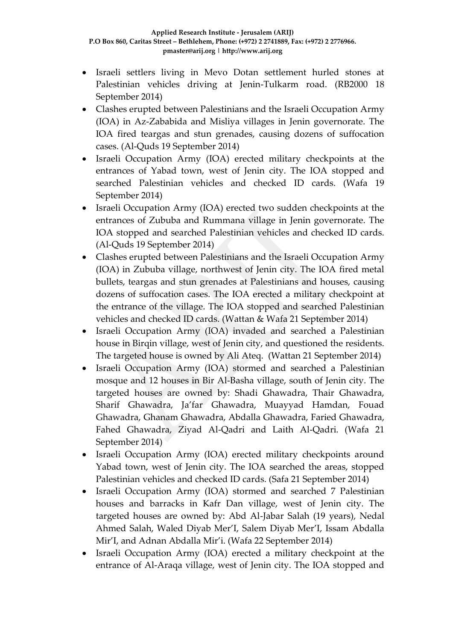- Israeli settlers living in Mevo Dotan settlement hurled stones at Palestinian vehicles driving at Jenin-Tulkarm road. (RB2000 18 September 2014)
- Clashes erupted between Palestinians and the Israeli Occupation Army (IOA) in Az-Zababida and Misliya villages in Jenin governorate. The IOA fired teargas and stun grenades, causing dozens of suffocation cases. (Al-Quds 19 September 2014)
- Israeli Occupation Army (IOA) erected military checkpoints at the entrances of Yabad town, west of Jenin city. The IOA stopped and searched Palestinian vehicles and checked ID cards. (Wafa 19 September 2014)
- Israeli Occupation Army (IOA) erected two sudden checkpoints at the entrances of Zububa and Rummana village in Jenin governorate. The IOA stopped and searched Palestinian vehicles and checked ID cards. (Al-Quds 19 September 2014)
- Clashes erupted between Palestinians and the Israeli Occupation Army (IOA) in Zububa village, northwest of Jenin city. The IOA fired metal bullets, teargas and stun grenades at Palestinians and houses, causing dozens of suffocation cases. The IOA erected a military checkpoint at the entrance of the village. The IOA stopped and searched Palestinian vehicles and checked ID cards. (Wattan & Wafa 21 September 2014)
- Israeli Occupation Army (IOA) invaded and searched a Palestinian house in Birqin village, west of Jenin city, and questioned the residents. The targeted house is owned by Ali Ateq. (Wattan 21 September 2014)
- Israeli Occupation Army (IOA) stormed and searched a Palestinian mosque and 12 houses in Bir Al-Basha village, south of Jenin city. The targeted houses are owned by: Shadi Ghawadra, Thair Ghawadra, Sharif Ghawadra, Ja'far Ghawadra, Muayyad Hamdan, Fouad Ghawadra, Ghanam Ghawadra, Abdalla Ghawadra, Faried Ghawadra, Fahed Ghawadra, Ziyad Al-Qadri and Laith Al-Qadri. (Wafa 21 September 2014)
- Israeli Occupation Army (IOA) erected military checkpoints around Yabad town, west of Jenin city. The IOA searched the areas, stopped Palestinian vehicles and checked ID cards. (Safa 21 September 2014)
- Israeli Occupation Army (IOA) stormed and searched 7 Palestinian houses and barracks in Kafr Dan village, west of Jenin city. The targeted houses are owned by: Abd Al-Jabar Salah (19 years), Nedal Ahmed Salah, Waled Diyab Mer'I, Salem Diyab Mer'I, Issam Abdalla Mir'I, and Adnan Abdalla Mir'i. (Wafa 22 September 2014)
- Israeli Occupation Army (IOA) erected a military checkpoint at the entrance of Al-Araqa village, west of Jenin city. The IOA stopped and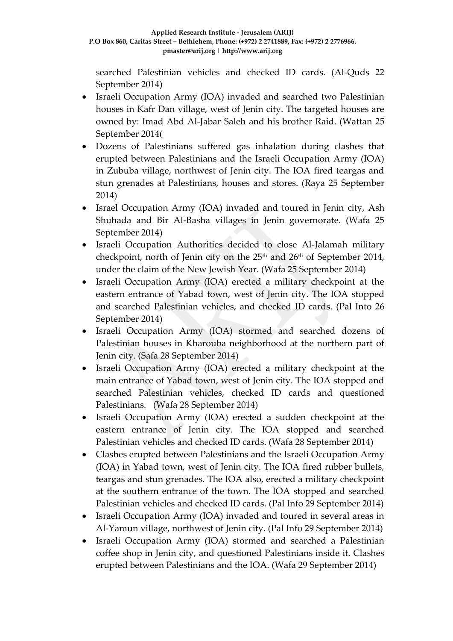searched Palestinian vehicles and checked ID cards. (Al-Quds 22 September 2014)

- Israeli Occupation Army (IOA) invaded and searched two Palestinian houses in Kafr Dan village, west of Jenin city. The targeted houses are owned by: Imad Abd Al-Jabar Saleh and his brother Raid. (Wattan 25 September 2014)
- Dozens of Palestinians suffered gas inhalation during clashes that erupted between Palestinians and the Israeli Occupation Army (IOA) in Zububa village, northwest of Jenin city. The IOA fired teargas and stun grenades at Palestinians, houses and stores. (Raya 25 September 2014)
- Israel Occupation Army (IOA) invaded and toured in Jenin city, Ash Shuhada and Bir Al-Basha villages in Jenin governorate. (Wafa 25 September 2014)
- Israeli Occupation Authorities decided to close Al-Jalamah military checkpoint, north of Jenin city on the  $25<sup>th</sup>$  and  $26<sup>th</sup>$  of September 2014, under the claim of the New Jewish Year. (Wafa 25 September 2014)
- Israeli Occupation Army (IOA) erected a military checkpoint at the eastern entrance of Yabad town, west of Jenin city. The IOA stopped and searched Palestinian vehicles, and checked ID cards. (Pal Into 26 September 2014)
- Israeli Occupation Army (IOA) stormed and searched dozens of Palestinian houses in Kharouba neighborhood at the northern part of Jenin city. (Safa 28 September 2014)
- Israeli Occupation Army (IOA) erected a military checkpoint at the main entrance of Yabad town, west of Jenin city. The IOA stopped and searched Palestinian vehicles, checked ID cards and questioned Palestinians. (Wafa 28 September 2014)
- Israeli Occupation Army (IOA) erected a sudden checkpoint at the eastern entrance of Jenin city. The IOA stopped and searched Palestinian vehicles and checked ID cards. (Wafa 28 September 2014)
- Clashes erupted between Palestinians and the Israeli Occupation Army (IOA) in Yabad town, west of Jenin city. The IOA fired rubber bullets, teargas and stun grenades. The IOA also, erected a military checkpoint at the southern entrance of the town. The IOA stopped and searched Palestinian vehicles and checked ID cards. (Pal Info 29 September 2014)
- Israeli Occupation Army (IOA) invaded and toured in several areas in Al-Yamun village, northwest of Jenin city. (Pal Info 29 September 2014)
- Israeli Occupation Army (IOA) stormed and searched a Palestinian coffee shop in Jenin city, and questioned Palestinians inside it. Clashes erupted between Palestinians and the IOA. (Wafa 29 September 2014)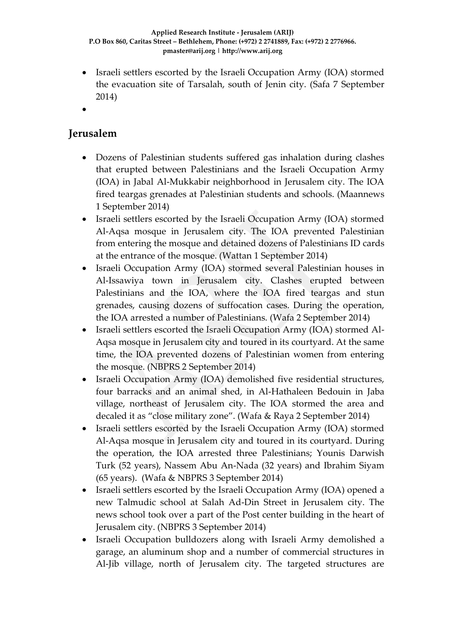- Israeli settlers escorted by the Israeli Occupation Army (IOA) stormed the evacuation site of Tarsalah, south of Jenin city. (Safa 7 September 2014)
- $\bullet$

# **Jerusalem**

- Dozens of Palestinian students suffered gas inhalation during clashes that erupted between Palestinians and the Israeli Occupation Army (IOA) in Jabal Al-Mukkabir neighborhood in Jerusalem city. The IOA fired teargas grenades at Palestinian students and schools. (Maannews 1 September 2014)
- Israeli settlers escorted by the Israeli Occupation Army (IOA) stormed Al-Aqsa mosque in Jerusalem city. The IOA prevented Palestinian from entering the mosque and detained dozens of Palestinians ID cards at the entrance of the mosque. (Wattan 1 September 2014)
- Israeli Occupation Army (IOA) stormed several Palestinian houses in Al-Issawiya town in Jerusalem city. Clashes erupted between Palestinians and the IOA, where the IOA fired teargas and stun grenades, causing dozens of suffocation cases. During the operation, the IOA arrested a number of Palestinians. (Wafa 2 September 2014)
- Israeli settlers escorted the Israeli Occupation Army (IOA) stormed Al-Aqsa mosque in Jerusalem city and toured in its courtyard. At the same time, the IOA prevented dozens of Palestinian women from entering the mosque. (NBPRS 2 September 2014)
- Israeli Occupation Army (IOA) demolished five residential structures, four barracks and an animal shed, in Al-Hathaleen Bedouin in Jaba village, northeast of Jerusalem city. The IOA stormed the area and decaled it as "close military zone". (Wafa & Raya 2 September 2014)
- Israeli settlers escorted by the Israeli Occupation Army (IOA) stormed Al-Aqsa mosque in Jerusalem city and toured in its courtyard. During the operation, the IOA arrested three Palestinians; Younis Darwish Turk (52 years), Nassem Abu An-Nada (32 years) and Ibrahim Siyam (65 years). (Wafa & NBPRS 3 September 2014)
- Israeli settlers escorted by the Israeli Occupation Army (IOA) opened a new Talmudic school at Salah Ad-Din Street in Jerusalem city. The news school took over a part of the Post center building in the heart of Jerusalem city. (NBPRS 3 September 2014)
- Israeli Occupation bulldozers along with Israeli Army demolished a garage, an aluminum shop and a number of commercial structures in Al-Jib village, north of Jerusalem city. The targeted structures are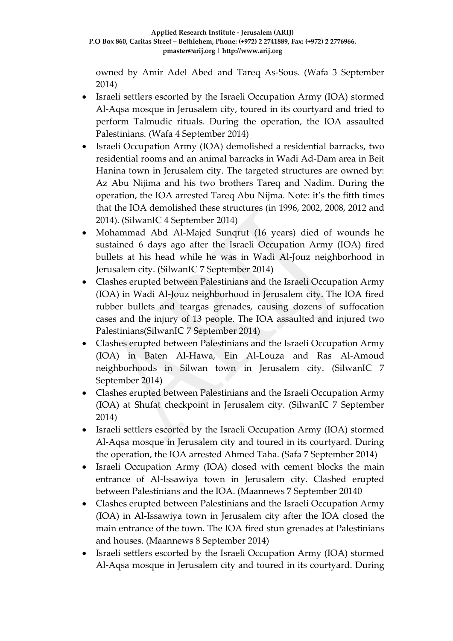owned by Amir Adel Abed and Tareq As-Sous. (Wafa 3 September 2014)

- Israeli settlers escorted by the Israeli Occupation Army (IOA) stormed Al-Aqsa mosque in Jerusalem city, toured in its courtyard and tried to perform Talmudic rituals. During the operation, the IOA assaulted Palestinians. (Wafa 4 September 2014)
- Israeli Occupation Army (IOA) demolished a residential barracks, two residential rooms and an animal barracks in Wadi Ad-Dam area in Beit Hanina town in Jerusalem city. The targeted structures are owned by: Az Abu Nijima and his two brothers Tareq and Nadim. During the operation, the IOA arrested Tareq Abu Nijma. Note: it's the fifth times that the IOA demolished these structures (in 1996, 2002, 2008, 2012 and 2014). (SilwanIC 4 September 2014)
- Mohammad Abd Al-Majed Sunqrut (16 years) died of wounds he sustained 6 days ago after the Israeli Occupation Army (IOA) fired bullets at his head while he was in Wadi Al-Jouz neighborhood in Jerusalem city. (SilwanIC 7 September 2014)
- Clashes erupted between Palestinians and the Israeli Occupation Army (IOA) in Wadi Al-Jouz neighborhood in Jerusalem city. The IOA fired rubber bullets and teargas grenades, causing dozens of suffocation cases and the injury of 13 people. The IOA assaulted and injured two Palestinians(SilwanIC 7 September 2014)
- Clashes erupted between Palestinians and the Israeli Occupation Army (IOA) in Baten Al-Hawa, Ein Al-Louza and Ras Al-Amoud neighborhoods in Silwan town in Jerusalem city. (SilwanIC 7 September 2014)
- Clashes erupted between Palestinians and the Israeli Occupation Army (IOA) at Shufat checkpoint in Jerusalem city. (SilwanIC 7 September 2014)
- Israeli settlers escorted by the Israeli Occupation Army (IOA) stormed Al-Aqsa mosque in Jerusalem city and toured in its courtyard. During the operation, the IOA arrested Ahmed Taha. (Safa 7 September 2014)
- Israeli Occupation Army (IOA) closed with cement blocks the main entrance of Al-Issawiya town in Jerusalem city. Clashed erupted between Palestinians and the IOA. (Maannews 7 September 20140
- Clashes erupted between Palestinians and the Israeli Occupation Army (IOA) in Al-Issawiya town in Jerusalem city after the IOA closed the main entrance of the town. The IOA fired stun grenades at Palestinians and houses. (Maannews 8 September 2014)
- Israeli settlers escorted by the Israeli Occupation Army (IOA) stormed Al-Aqsa mosque in Jerusalem city and toured in its courtyard. During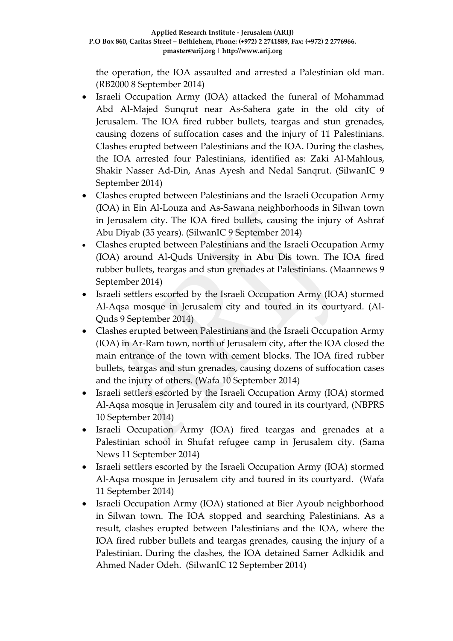the operation, the IOA assaulted and arrested a Palestinian old man. (RB2000 8 September 2014)

- Israeli Occupation Army (IOA) attacked the funeral of Mohammad Abd Al-Majed Sunqrut near As-Sahera gate in the old city of Jerusalem. The IOA fired rubber bullets, teargas and stun grenades, causing dozens of suffocation cases and the injury of 11 Palestinians. Clashes erupted between Palestinians and the IOA. During the clashes, the IOA arrested four Palestinians, identified as: Zaki Al-Mahlous, Shakir Nasser Ad-Din, Anas Ayesh and Nedal Sanqrut. (SilwanIC 9 September 2014)
- Clashes erupted between Palestinians and the Israeli Occupation Army (IOA) in Ein Al-Louza and As-Sawana neighborhoods in Silwan town in Jerusalem city. The IOA fired bullets, causing the injury of Ashraf Abu Diyab (35 years). (SilwanIC 9 September 2014)
- Clashes erupted between Palestinians and the Israeli Occupation Army (IOA) around Al-Quds University in Abu Dis town. The IOA fired rubber bullets, teargas and stun grenades at Palestinians. (Maannews 9 September 2014)
- Israeli settlers escorted by the Israeli Occupation Army (IOA) stormed Al-Aqsa mosque in Jerusalem city and toured in its courtyard. (Al-Quds 9 September 2014)
- Clashes erupted between Palestinians and the Israeli Occupation Army (IOA) in Ar-Ram town, north of Jerusalem city, after the IOA closed the main entrance of the town with cement blocks. The IOA fired rubber bullets, teargas and stun grenades, causing dozens of suffocation cases and the injury of others. (Wafa 10 September 2014)
- Israeli settlers escorted by the Israeli Occupation Army (IOA) stormed Al-Aqsa mosque in Jerusalem city and toured in its courtyard, (NBPRS 10 September 2014)
- Israeli Occupation Army (IOA) fired teargas and grenades at a Palestinian school in Shufat refugee camp in Jerusalem city. (Sama News 11 September 2014)
- Israeli settlers escorted by the Israeli Occupation Army (IOA) stormed Al-Aqsa mosque in Jerusalem city and toured in its courtyard. (Wafa 11 September 2014)
- Israeli Occupation Army (IOA) stationed at Bier Ayoub neighborhood in Silwan town. The IOA stopped and searching Palestinians. As a result, clashes erupted between Palestinians and the IOA, where the IOA fired rubber bullets and teargas grenades, causing the injury of a Palestinian. During the clashes, the IOA detained Samer Adkidik and Ahmed Nader Odeh. (SilwanIC 12 September 2014)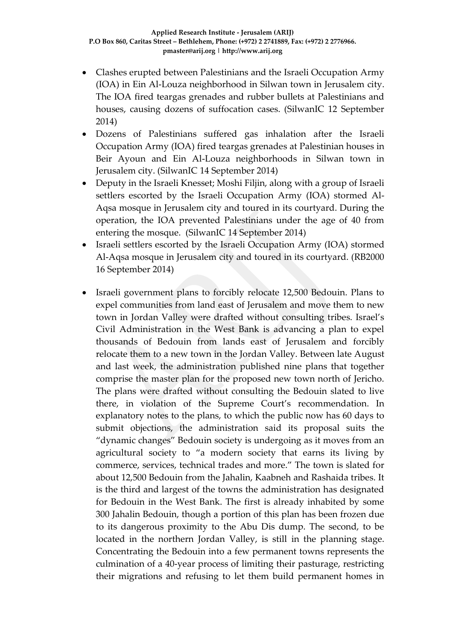- Clashes erupted between Palestinians and the Israeli Occupation Army (IOA) in Ein Al-Louza neighborhood in Silwan town in Jerusalem city. The IOA fired teargas grenades and rubber bullets at Palestinians and houses, causing dozens of suffocation cases. (SilwanIC 12 September 2014)
- Dozens of Palestinians suffered gas inhalation after the Israeli Occupation Army (IOA) fired teargas grenades at Palestinian houses in Beir Ayoun and Ein Al-Louza neighborhoods in Silwan town in Jerusalem city. (SilwanIC 14 September 2014)
- Deputy in the Israeli Knesset; Moshi Filjin, along with a group of Israeli settlers escorted by the Israeli Occupation Army (IOA) stormed Al-Aqsa mosque in Jerusalem city and toured in its courtyard. During the operation, the IOA prevented Palestinians under the age of 40 from entering the mosque. (SilwanIC 14 September 2014)
- Israeli settlers escorted by the Israeli Occupation Army (IOA) stormed Al-Aqsa mosque in Jerusalem city and toured in its courtyard. (RB2000 16 September 2014)
- Israeli government plans to forcibly relocate 12,500 Bedouin. Plans to expel communities from land east of Jerusalem and move them to new town in Jordan Valley were drafted without consulting tribes. Israel's Civil Administration in the West Bank is advancing a plan to expel thousands of Bedouin from lands east of Jerusalem and forcibly relocate them to a new town in the Jordan Valley. Between late August and last week, the administration published nine plans that together comprise the master plan for the proposed new town north of Jericho. The plans were drafted without consulting the Bedouin slated to live there, in violation of the Supreme Court's recommendation. In explanatory notes to the plans, to which the public now has 60 days to submit objections, the administration said its proposal suits the "dynamic changes" Bedouin society is undergoing as it moves from an agricultural society to "a modern society that earns its living by commerce, services, technical trades and more." The town is slated for about 12,500 Bedouin from the Jahalin, Kaabneh and Rashaida tribes. It is the third and largest of the towns the administration has designated for Bedouin in the West Bank. The first is already inhabited by some 300 Jahalin Bedouin, though a portion of this plan has been frozen due to its dangerous proximity to the Abu Dis dump. The second, to be located in the northern Jordan Valley, is still in the planning stage. Concentrating the Bedouin into a few permanent towns represents the culmination of a 40-year process of limiting their pasturage, restricting their migrations and refusing to let them build permanent homes in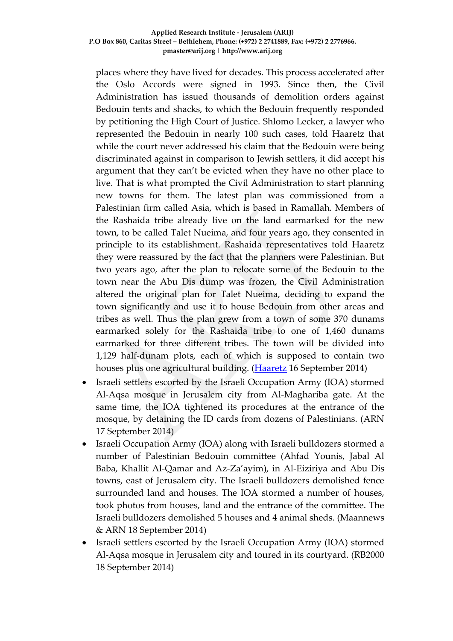places where they have lived for decades. This process accelerated after the Oslo Accords were signed in 1993. Since then, the Civil Administration has issued thousands of demolition orders against Bedouin tents and shacks, to which the Bedouin frequently responded by petitioning the High Court of Justice. Shlomo Lecker, a lawyer who represented the Bedouin in nearly 100 such cases, told Haaretz that while the court never addressed his claim that the Bedouin were being discriminated against in comparison to Jewish settlers, it did accept his argument that they can't be evicted when they have no other place to live. That is what prompted the Civil Administration to start planning new towns for them. The latest plan was commissioned from a Palestinian firm called Asia, which is based in Ramallah. Members of the Rashaida tribe already live on the land earmarked for the new town, to be called Talet Nueima, and four years ago, they consented in principle to its establishment. Rashaida representatives told Haaretz they were reassured by the fact that the planners were Palestinian. But two years ago, after the plan to relocate some of the Bedouin to the town near the Abu Dis dump was frozen, the Civil Administration altered the original plan for Talet Nueima, deciding to expand the town significantly and use it to house Bedouin from other areas and tribes as well. Thus the plan grew from a town of some 370 dunams earmarked solely for the Rashaida tribe to one of 1,460 dunams earmarked for three different tribes. The town will be divided into 1,129 half-dunam plots, each of which is supposed to contain two houses plus one agricultural building. [\(Haaretz](http://www.haaretz.com/news/national/.premium-1.615986) 16 September 2014)

- Israeli settlers escorted by the Israeli Occupation Army (IOA) stormed Al-Aqsa mosque in Jerusalem city from Al-Maghariba gate. At the same time, the IOA tightened its procedures at the entrance of the mosque, by detaining the ID cards from dozens of Palestinians. (ARN 17 September 2014)
- Israeli Occupation Army (IOA) along with Israeli bulldozers stormed a number of Palestinian Bedouin committee (Ahfad Younis, Jabal Al Baba, Khallit Al-Qamar and Az-Za'ayim), in Al-Eiziriya and Abu Dis towns, east of Jerusalem city. The Israeli bulldozers demolished fence surrounded land and houses. The IOA stormed a number of houses, took photos from houses, land and the entrance of the committee. The Israeli bulldozers demolished 5 houses and 4 animal sheds. (Maannews & ARN 18 September 2014)
- Israeli settlers escorted by the Israeli Occupation Army (IOA) stormed Al-Aqsa mosque in Jerusalem city and toured in its courtyard. (RB2000 18 September 2014)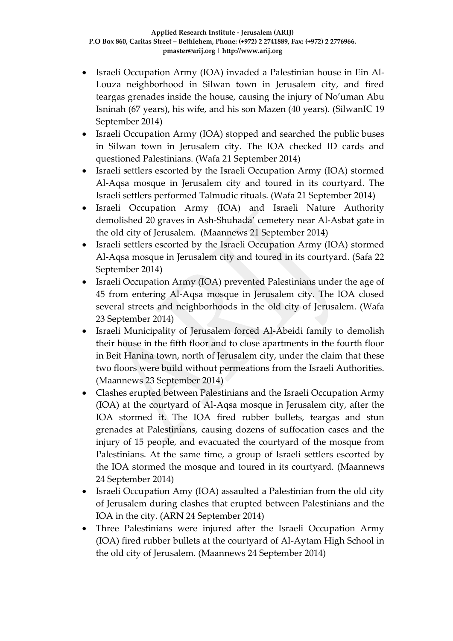- Israeli Occupation Army (IOA) invaded a Palestinian house in Ein Al-Louza neighborhood in Silwan town in Jerusalem city, and fired teargas grenades inside the house, causing the injury of No'uman Abu Isninah (67 years), his wife, and his son Mazen (40 years). (SilwanIC 19 September 2014)
- Israeli Occupation Army (IOA) stopped and searched the public buses in Silwan town in Jerusalem city. The IOA checked ID cards and questioned Palestinians. (Wafa 21 September 2014)
- Israeli settlers escorted by the Israeli Occupation Army (IOA) stormed Al-Aqsa mosque in Jerusalem city and toured in its courtyard. The Israeli settlers performed Talmudic rituals. (Wafa 21 September 2014)
- Israeli Occupation Army (IOA) and Israeli Nature Authority demolished 20 graves in Ash-Shuhada' cemetery near Al-Asbat gate in the old city of Jerusalem. (Maannews 21 September 2014)
- Israeli settlers escorted by the Israeli Occupation Army (IOA) stormed Al-Aqsa mosque in Jerusalem city and toured in its courtyard. (Safa 22 September 2014)
- Israeli Occupation Army (IOA) prevented Palestinians under the age of 45 from entering Al-Aqsa mosque in Jerusalem city. The IOA closed several streets and neighborhoods in the old city of Jerusalem. (Wafa 23 September 2014)
- Israeli Municipality of Jerusalem forced Al-Abeidi family to demolish their house in the fifth floor and to close apartments in the fourth floor in Beit Hanina town, north of Jerusalem city, under the claim that these two floors were build without permeations from the Israeli Authorities. (Maannews 23 September 2014)
- Clashes erupted between Palestinians and the Israeli Occupation Army (IOA) at the courtyard of Al-Aqsa mosque in Jerusalem city, after the IOA stormed it. The IOA fired rubber bullets, teargas and stun grenades at Palestinians, causing dozens of suffocation cases and the injury of 15 people, and evacuated the courtyard of the mosque from Palestinians. At the same time, a group of Israeli settlers escorted by the IOA stormed the mosque and toured in its courtyard. (Maannews 24 September 2014)
- Israeli Occupation Amy (IOA) assaulted a Palestinian from the old city of Jerusalem during clashes that erupted between Palestinians and the IOA in the city. (ARN 24 September 2014)
- Three Palestinians were injured after the Israeli Occupation Army (IOA) fired rubber bullets at the courtyard of Al-Aytam High School in the old city of Jerusalem. (Maannews 24 September 2014)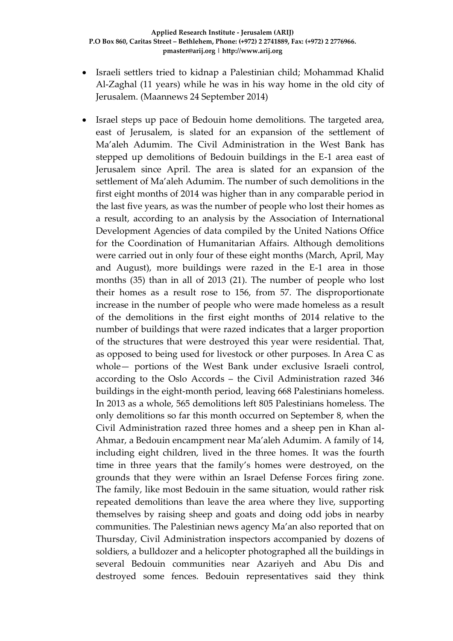- Israeli settlers tried to kidnap a Palestinian child; Mohammad Khalid Al-Zaghal (11 years) while he was in his way home in the old city of Jerusalem. (Maannews 24 September 2014)
- Israel steps up pace of Bedouin home demolitions. The targeted area, east of Jerusalem, is slated for an expansion of the settlement of Ma'aleh Adumim. The Civil Administration in the West Bank has stepped up demolitions of Bedouin buildings in the E-1 area east of Jerusalem since April. The area is slated for an expansion of the settlement of Ma'aleh Adumim. The number of such demolitions in the first eight months of 2014 was higher than in any comparable period in the last five years, as was the number of people who lost their homes as a result, according to an analysis by the Association of International Development Agencies of data compiled by the United Nations Office for the Coordination of Humanitarian Affairs. Although demolitions were carried out in only four of these eight months (March, April, May and August), more buildings were razed in the E-1 area in those months (35) than in all of 2013 (21). The number of people who lost their homes as a result rose to 156, from 57. The disproportionate increase in the number of people who were made homeless as a result of the demolitions in the first eight months of 2014 relative to the number of buildings that were razed indicates that a larger proportion of the structures that were destroyed this year were residential. That, as opposed to being used for livestock or other purposes. In Area C as whole— portions of the West Bank under exclusive Israeli control, according to the Oslo Accords – the Civil Administration razed 346 buildings in the eight-month period, leaving 668 Palestinians homeless. In 2013 as a whole, 565 demolitions left 805 Palestinians homeless. The only demolitions so far this month occurred on September 8, when the Civil Administration razed three homes and a sheep pen in Khan al-Ahmar, a Bedouin encampment near Ma'aleh Adumim. A family of 14, including eight children, lived in the three homes. It was the fourth time in three years that the family's homes were destroyed, on the grounds that they were within an Israel Defense Forces firing zone. The family, like most Bedouin in the same situation, would rather risk repeated demolitions than leave the area where they live, supporting themselves by raising sheep and goats and doing odd jobs in nearby communities. The Palestinian news agency Ma'an also reported that on Thursday, Civil Administration inspectors accompanied by dozens of soldiers, a bulldozer and a helicopter photographed all the buildings in several Bedouin communities near Azariyeh and Abu Dis and destroyed some fences. Bedouin representatives said they think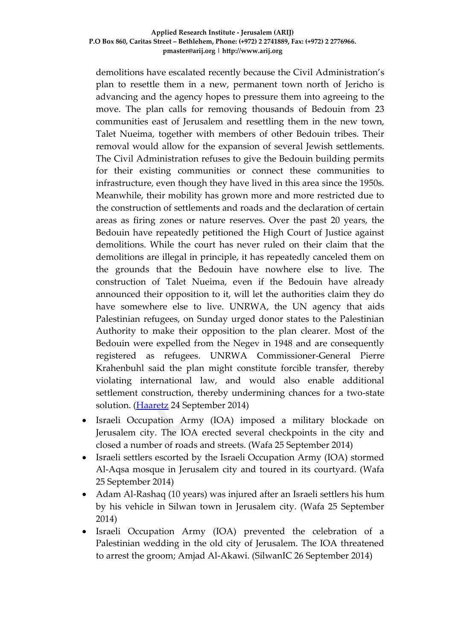demolitions have escalated recently because the Civil Administration's plan to resettle them in a new, permanent town north of Jericho is advancing and the agency hopes to pressure them into agreeing to the move. The plan calls for removing thousands of Bedouin from 23 communities east of Jerusalem and resettling them in the new town, Talet Nueima, together with members of other Bedouin tribes. Their removal would allow for the expansion of several Jewish settlements. The Civil Administration refuses to give the Bedouin building permits for their existing communities or connect these communities to infrastructure, even though they have lived in this area since the 1950s. Meanwhile, their mobility has grown more and more restricted due to the construction of settlements and roads and the declaration of certain areas as firing zones or nature reserves. Over the past 20 years, the Bedouin have repeatedly petitioned the High Court of Justice against demolitions. While the court has never ruled on their claim that the demolitions are illegal in principle, it has repeatedly canceled them on the grounds that the Bedouin have nowhere else to live. The construction of Talet Nueima, even if the Bedouin have already announced their opposition to it, will let the authorities claim they do have somewhere else to live. UNRWA, the UN agency that aids Palestinian refugees, on Sunday urged donor states to the Palestinian Authority to make their opposition to the plan clearer. Most of the Bedouin were expelled from the Negev in 1948 and are consequently registered as refugees. UNRWA Commissioner-General Pierre Krahenbuhl said the plan might constitute forcible transfer, thereby violating international law, and would also enable additional settlement construction, thereby undermining chances for a two-state solution. [\(Haaretz](http://www.haaretz.com/news/diplomacy-defense/.premium-1.617537) 24 September 2014)

- Israeli Occupation Army (IOA) imposed a military blockade on Jerusalem city. The IOA erected several checkpoints in the city and closed a number of roads and streets. (Wafa 25 September 2014)
- Israeli settlers escorted by the Israeli Occupation Army (IOA) stormed Al-Aqsa mosque in Jerusalem city and toured in its courtyard. (Wafa 25 September 2014)
- Adam Al-Rashaq (10 years) was injured after an Israeli settlers his hum by his vehicle in Silwan town in Jerusalem city. (Wafa 25 September 2014)
- Israeli Occupation Army (IOA) prevented the celebration of a Palestinian wedding in the old city of Jerusalem. The IOA threatened to arrest the groom; Amjad Al-Akawi. (SilwanIC 26 September 2014)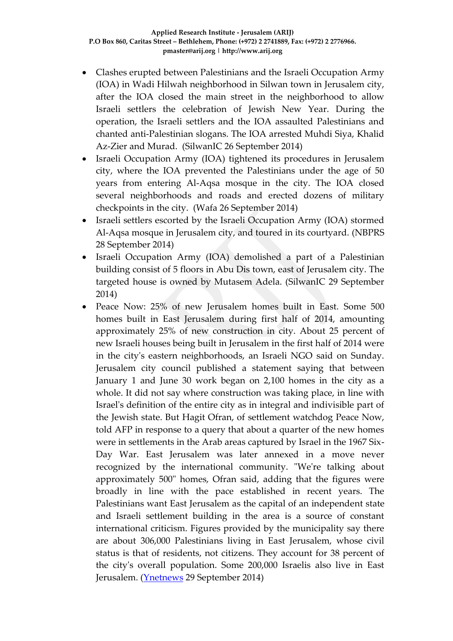- Clashes erupted between Palestinians and the Israeli Occupation Army (IOA) in Wadi Hilwah neighborhood in Silwan town in Jerusalem city, after the IOA closed the main street in the neighborhood to allow Israeli settlers the celebration of Jewish New Year. During the operation, the Israeli settlers and the IOA assaulted Palestinians and chanted anti-Palestinian slogans. The IOA arrested Muhdi Siya, Khalid Az-Zier and Murad. (SilwanIC 26 September 2014)
- Israeli Occupation Army (IOA) tightened its procedures in Jerusalem city, where the IOA prevented the Palestinians under the age of 50 years from entering Al-Aqsa mosque in the city. The IOA closed several neighborhoods and roads and erected dozens of military checkpoints in the city. (Wafa 26 September 2014)
- Israeli settlers escorted by the Israeli Occupation Army (IOA) stormed Al-Aqsa mosque in Jerusalem city, and toured in its courtyard. (NBPRS 28 September 2014)
- Israeli Occupation Army (IOA) demolished a part of a Palestinian building consist of 5 floors in Abu Dis town, east of Jerusalem city. The targeted house is owned by Mutasem Adela. (SilwanIC 29 September 2014)
- Peace Now: 25% of new Jerusalem homes built in East. Some 500 homes built in East Jerusalem during first half of 2014, amounting approximately 25% of new construction in city. About 25 percent of new Israeli houses being built in Jerusalem in the first half of 2014 were in the city's eastern neighborhoods, an Israeli NGO said on Sunday. Jerusalem city council published a statement saying that between January 1 and June 30 work began on 2,100 homes in the city as a whole. It did not say where construction was taking place, in line with Israel's definition of the entire city as in integral and indivisible part of the Jewish state. But Hagit Ofran, of settlement watchdog Peace Now, told AFP in response to a query that about a quarter of the new homes were in settlements in the Arab areas captured by Israel in the 1967 Six-Day War. East Jerusalem was later annexed in a move never recognized by the international community. "We're talking about approximately 500" homes, Ofran said, adding that the figures were broadly in line with the pace established in recent years. The Palestinians want East Jerusalem as the capital of an independent state and Israeli settlement building in the area is a source of constant international criticism. Figures provided by the municipality say there are about 306,000 Palestinians living in East Jerusalem, whose civil status is that of residents, not citizens. They account for 38 percent of the city's overall population. Some 200,000 Israelis also live in East Jerusalem. [\(Ynetnews](http://www.ynetnews.com/articles/0,7340,L-4575727,00.html) 29 September 2014)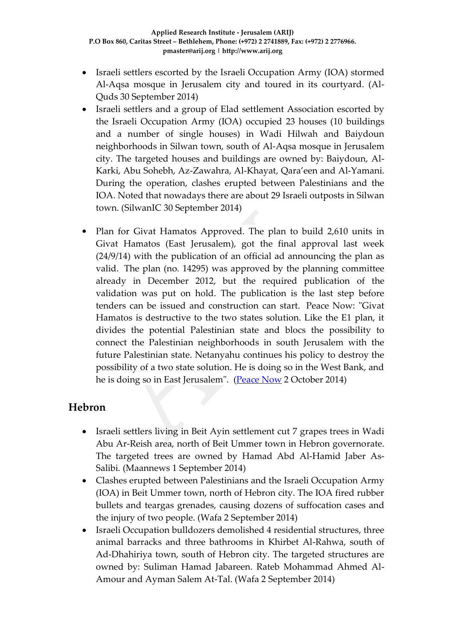- Israeli settlers escorted by the Israeli Occupation Army (IOA) stormed Al-Aqsa mosque in Jerusalem city and toured in its courtyard. (Al-Quds 30 September 2014)
- Israeli settlers and a group of Elad settlement Association escorted by the Israeli Occupation Army (IOA) occupied 23 houses (10 buildings and a number of single houses) in Wadi Hilwah and Baiydoun neighborhoods in Silwan town, south of Al-Aqsa mosque in Jerusalem city. The targeted houses and buildings are owned by: Baiydoun, Al-Karki, Abu Sohebh, Az-Zawahra, Al-Khayat, Qara'een and Al-Yamani. During the operation, clashes erupted between Palestinians and the IOA. Noted that nowadays there are about 29 Israeli outposts in Silwan town. (SilwanIC 30 September 2014)
- Plan for Givat Hamatos Approved. The plan to build 2,610 units in Givat Hamatos (East Jerusalem), got the final approval last week (24/9/14) with the publication of an official ad announcing the plan as valid. The plan (no. 14295) was approved by the planning committee already in December 2012, but the required publication of the validation was put on hold. The publication is the last step before tenders can be issued and construction can start. Peace Now: "Givat Hamatos is destructive to the two states solution. Like the E1 plan, it divides the potential Palestinian state and blocs the possibility to connect the Palestinian neighborhoods in south Jerusalem with the future Palestinian state. Netanyahu continues his policy to destroy the possibility of a two state solution. He is doing so in the West Bank, and he is doing so in East Jerusalem". [\(Peace Now](http://peacenow.org.il/eng/GivatHamatosAproved) 2 October 2014)

# **Hebron**

- Israeli settlers living in Beit Ayin settlement cut 7 grapes trees in Wadi Abu Ar-Reish area, north of Beit Ummer town in Hebron governorate. The targeted trees are owned by Hamad Abd Al-Hamid Jaber As-Salibi. (Maannews 1 September 2014)
- Clashes erupted between Palestinians and the Israeli Occupation Army (IOA) in Beit Ummer town, north of Hebron city. The IOA fired rubber bullets and teargas grenades, causing dozens of suffocation cases and the injury of two people. (Wafa 2 September 2014)
- Israeli Occupation bulldozers demolished 4 residential structures, three animal barracks and three bathrooms in Khirbet Al-Rahwa, south of Ad-Dhahiriya town, south of Hebron city. The targeted structures are owned by: Suliman Hamad Jabareen. Rateb Mohammad Ahmed Al-Amour and Ayman Salem At-Tal. (Wafa 2 September 2014)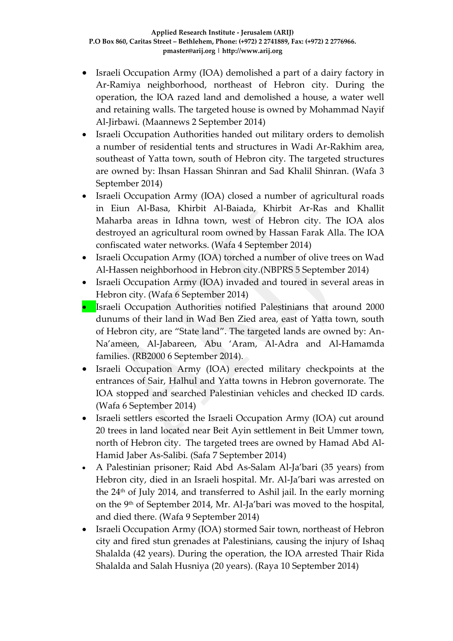- Israeli Occupation Army (IOA) demolished a part of a dairy factory in Ar-Ramiya neighborhood, northeast of Hebron city. During the operation, the IOA razed land and demolished a house, a water well and retaining walls. The targeted house is owned by Mohammad Nayif Al-Jirbawi. (Maannews 2 September 2014)
- Israeli Occupation Authorities handed out military orders to demolish a number of residential tents and structures in Wadi Ar-Rakhim area, southeast of Yatta town, south of Hebron city. The targeted structures are owned by: Ihsan Hassan Shinran and Sad Khalil Shinran. (Wafa 3 September 2014)
- Israeli Occupation Army (IOA) closed a number of agricultural roads in Eiun Al-Basa, Khirbit Al-Baiada, Khirbit Ar-Ras and Khallit Maharba areas in Idhna town, west of Hebron city. The IOA alos destroyed an agricultural room owned by Hassan Farak Alla. The IOA confiscated water networks. (Wafa 4 September 2014)
- Israeli Occupation Army (IOA) torched a number of olive trees on Wad Al-Hassen neighborhood in Hebron city.(NBPRS 5 September 2014)
- Israeli Occupation Army (IOA) invaded and toured in several areas in Hebron city. (Wafa 6 September 2014)
- **•** Israeli Occupation Authorities notified Palestinians that around 2000 dunums of their land in Wad Ben Zied area, east of Yatta town, south of Hebron city, are "State land". The targeted lands are owned by: An-Na'ameen, Al-Jabareen, Abu 'Aram, Al-Adra and Al-Hamamda families. (RB2000 6 September 2014).
- Israeli Occupation Army (IOA) erected military checkpoints at the entrances of Sair, Halhul and Yatta towns in Hebron governorate. The IOA stopped and searched Palestinian vehicles and checked ID cards. (Wafa 6 September 2014)
- Israeli settlers escorted the Israeli Occupation Army (IOA) cut around 20 trees in land located near Beit Ayin settlement in Beit Ummer town, north of Hebron city. The targeted trees are owned by Hamad Abd Al-Hamid Jaber As-Salibi. (Safa 7 September 2014)
- A Palestinian prisoner; Raid Abd As-Salam Al-Ja'bari (35 years) from Hebron city, died in an Israeli hospital. Mr. Al-Ja'bari was arrested on the 24<sup>th</sup> of July 2014, and transferred to Ashil jail. In the early morning on the 9th of September 2014, Mr. Al-Ja'bari was moved to the hospital, and died there. (Wafa 9 September 2014)
- Israeli Occupation Army (IOA) stormed Sair town, northeast of Hebron city and fired stun grenades at Palestinians, causing the injury of Ishaq Shalalda (42 years). During the operation, the IOA arrested Thair Rida Shalalda and Salah Husniya (20 years). (Raya 10 September 2014)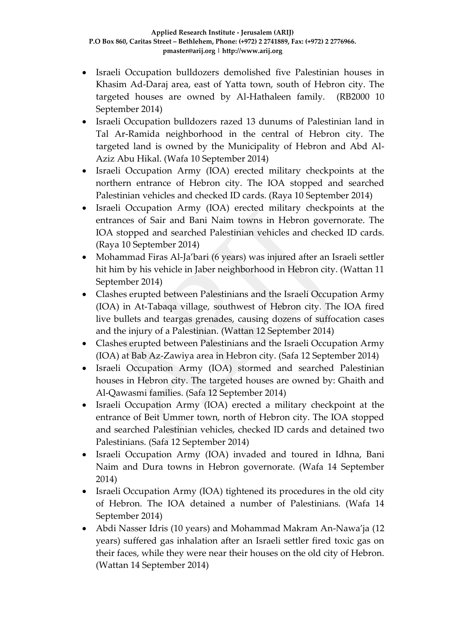- Israeli Occupation bulldozers demolished five Palestinian houses in Khasim Ad-Daraj area, east of Yatta town, south of Hebron city. The targeted houses are owned by Al-Hathaleen family. (RB2000 10 September 2014)
- Israeli Occupation bulldozers razed 13 dunums of Palestinian land in Tal Ar-Ramida neighborhood in the central of Hebron city. The targeted land is owned by the Municipality of Hebron and Abd Al-Aziz Abu Hikal. (Wafa 10 September 2014)
- Israeli Occupation Army (IOA) erected military checkpoints at the northern entrance of Hebron city. The IOA stopped and searched Palestinian vehicles and checked ID cards. (Raya 10 September 2014)
- Israeli Occupation Army (IOA) erected military checkpoints at the entrances of Sair and Bani Naim towns in Hebron governorate. The IOA stopped and searched Palestinian vehicles and checked ID cards. (Raya 10 September 2014)
- Mohammad Firas Al-Ja'bari (6 years) was injured after an Israeli settler hit him by his vehicle in Jaber neighborhood in Hebron city. (Wattan 11 September 2014)
- Clashes erupted between Palestinians and the Israeli Occupation Army (IOA) in At-Tabaqa village, southwest of Hebron city. The IOA fired live bullets and teargas grenades, causing dozens of suffocation cases and the injury of a Palestinian. (Wattan 12 September 2014)
- Clashes erupted between Palestinians and the Israeli Occupation Army (IOA) at Bab Az-Zawiya area in Hebron city. (Safa 12 September 2014)
- Israeli Occupation Army (IOA) stormed and searched Palestinian houses in Hebron city. The targeted houses are owned by: Ghaith and Al-Qawasmi families. (Safa 12 September 2014)
- Israeli Occupation Army (IOA) erected a military checkpoint at the entrance of Beit Ummer town, north of Hebron city. The IOA stopped and searched Palestinian vehicles, checked ID cards and detained two Palestinians. (Safa 12 September 2014)
- Israeli Occupation Army (IOA) invaded and toured in Idhna, Bani Naim and Dura towns in Hebron governorate. (Wafa 14 September 2014)
- Israeli Occupation Army (IOA) tightened its procedures in the old city of Hebron. The IOA detained a number of Palestinians. (Wafa 14 September 2014)
- Abdi Nasser Idris (10 years) and Mohammad Makram An-Nawa'ja (12 years) suffered gas inhalation after an Israeli settler fired toxic gas on their faces, while they were near their houses on the old city of Hebron. (Wattan 14 September 2014)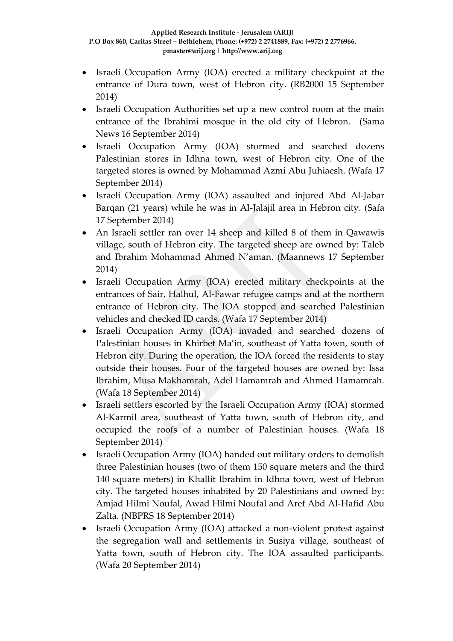- Israeli Occupation Army (IOA) erected a military checkpoint at the entrance of Dura town, west of Hebron city. (RB2000 15 September 2014)
- Israeli Occupation Authorities set up a new control room at the main entrance of the Ibrahimi mosque in the old city of Hebron. (Sama News 16 September 2014)
- Israeli Occupation Army (IOA) stormed and searched dozens Palestinian stores in Idhna town, west of Hebron city. One of the targeted stores is owned by Mohammad Azmi Abu Juhiaesh. (Wafa 17 September 2014)
- Israeli Occupation Army (IOA) assaulted and injured Abd Al-Jabar Barqan (21 years) while he was in Al-Jalajil area in Hebron city. (Safa 17 September 2014)
- An Israeli settler ran over 14 sheep and killed 8 of them in Qawawis village, south of Hebron city. The targeted sheep are owned by: Taleb and Ibrahim Mohammad Ahmed N'aman. (Maannews 17 September 2014)
- Israeli Occupation Army (IOA) erected military checkpoints at the entrances of Sair, Halhul, Al-Fawar refugee camps and at the northern entrance of Hebron city. The IOA stopped and searched Palestinian vehicles and checked ID cards. (Wafa 17 September 2014)
- Israeli Occupation Army (IOA) invaded and searched dozens of Palestinian houses in Khirbet Ma'in, southeast of Yatta town, south of Hebron city. During the operation, the IOA forced the residents to stay outside their houses. Four of the targeted houses are owned by: Issa Ibrahim, Musa Makhamrah, Adel Hamamrah and Ahmed Hamamrah. (Wafa 18 September 2014)
- Israeli settlers escorted by the Israeli Occupation Army (IOA) stormed Al-Karmil area, southeast of Yatta town, south of Hebron city, and occupied the roofs of a number of Palestinian houses. (Wafa 18 September 2014)
- Israeli Occupation Army (IOA) handed out military orders to demolish three Palestinian houses (two of them 150 square meters and the third 140 square meters) in Khallit Ibrahim in Idhna town, west of Hebron city. The targeted houses inhabited by 20 Palestinians and owned by: Amjad Hilmi Noufal, Awad Hilmi Noufal and Aref Abd Al-Hafid Abu Zalta. (NBPRS 18 September 2014)
- Israeli Occupation Army (IOA) attacked a non-violent protest against the segregation wall and settlements in Susiya village, southeast of Yatta town, south of Hebron city. The IOA assaulted participants. (Wafa 20 September 2014)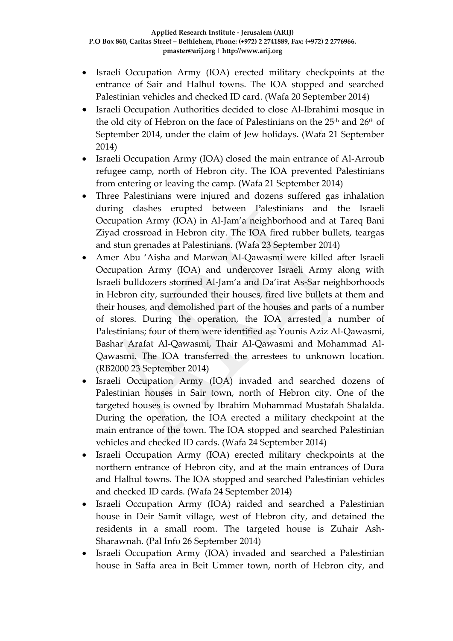- Israeli Occupation Army (IOA) erected military checkpoints at the entrance of Sair and Halhul towns. The IOA stopped and searched Palestinian vehicles and checked ID card. (Wafa 20 September 2014)
- Israeli Occupation Authorities decided to close Al-Ibrahimi mosque in the old city of Hebron on the face of Palestinians on the 25<sup>th</sup> and 26<sup>th</sup> of September 2014, under the claim of Jew holidays. (Wafa 21 September 2014)
- Israeli Occupation Army (IOA) closed the main entrance of Al-Arroub refugee camp, north of Hebron city. The IOA prevented Palestinians from entering or leaving the camp. (Wafa 21 September 2014)
- Three Palestinians were injured and dozens suffered gas inhalation during clashes erupted between Palestinians and the Israeli Occupation Army (IOA) in Al-Jam'a neighborhood and at Tareq Bani Ziyad crossroad in Hebron city. The IOA fired rubber bullets, teargas and stun grenades at Palestinians. (Wafa 23 September 2014)
- Amer Abu 'Aisha and Marwan Al-Qawasmi were killed after Israeli Occupation Army (IOA) and undercover Israeli Army along with Israeli bulldozers stormed Al-Jam'a and Da'irat As-Sar neighborhoods in Hebron city, surrounded their houses, fired live bullets at them and their houses, and demolished part of the houses and parts of a number of stores. During the operation, the IOA arrested a number of Palestinians; four of them were identified as: Younis Aziz Al-Qawasmi, Bashar Arafat Al-Qawasmi, Thair Al-Qawasmi and Mohammad Al-Qawasmi. The IOA transferred the arrestees to unknown location. (RB2000 23 September 2014)
- Israeli Occupation Army (IOA) invaded and searched dozens of Palestinian houses in Sair town, north of Hebron city. One of the targeted houses is owned by Ibrahim Mohammad Mustafah Shalalda. During the operation, the IOA erected a military checkpoint at the main entrance of the town. The IOA stopped and searched Palestinian vehicles and checked ID cards. (Wafa 24 September 2014)
- Israeli Occupation Army (IOA) erected military checkpoints at the northern entrance of Hebron city, and at the main entrances of Dura and Halhul towns. The IOA stopped and searched Palestinian vehicles and checked ID cards. (Wafa 24 September 2014)
- Israeli Occupation Army (IOA) raided and searched a Palestinian house in Deir Samit village, west of Hebron city, and detained the residents in a small room. The targeted house is Zuhair Ash-Sharawnah. (Pal Info 26 September 2014)
- Israeli Occupation Army (IOA) invaded and searched a Palestinian house in Saffa area in Beit Ummer town, north of Hebron city, and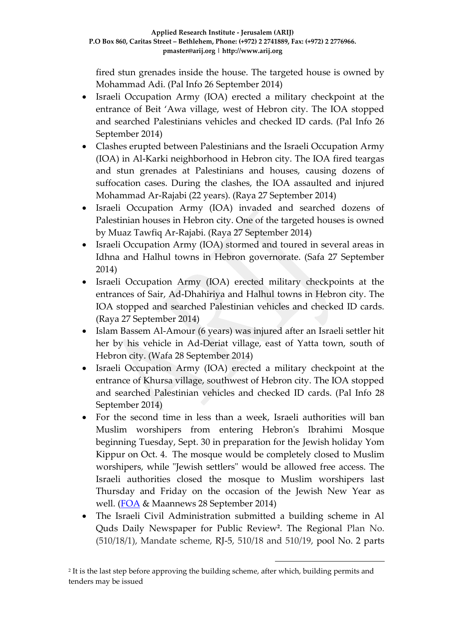fired stun grenades inside the house. The targeted house is owned by Mohammad Adi. (Pal Info 26 September 2014)

- Israeli Occupation Army (IOA) erected a military checkpoint at the entrance of Beit 'Awa village, west of Hebron city. The IOA stopped and searched Palestinians vehicles and checked ID cards. (Pal Info 26 September 2014)
- Clashes erupted between Palestinians and the Israeli Occupation Army (IOA) in Al-Karki neighborhood in Hebron city. The IOA fired teargas and stun grenades at Palestinians and houses, causing dozens of suffocation cases. During the clashes, the IOA assaulted and injured Mohammad Ar-Rajabi (22 years). (Raya 27 September 2014)
- Israeli Occupation Army (IOA) invaded and searched dozens of Palestinian houses in Hebron city. One of the targeted houses is owned by Muaz Tawfiq Ar-Rajabi. (Raya 27 September 2014)
- Israeli Occupation Army (IOA) stormed and toured in several areas in Idhna and Halhul towns in Hebron governorate. (Safa 27 September 2014)
- Israeli Occupation Army (IOA) erected military checkpoints at the entrances of Sair, Ad-Dhahiriya and Halhul towns in Hebron city. The IOA stopped and searched Palestinian vehicles and checked ID cards. (Raya 27 September 2014)
- Islam Bassem Al-Amour (6 years) was injured after an Israeli settler hit her by his vehicle in Ad-Deriat village, east of Yatta town, south of Hebron city. (Wafa 28 September 2014)
- Israeli Occupation Army (IOA) erected a military checkpoint at the entrance of Khursa village, southwest of Hebron city. The IOA stopped and searched Palestinian vehicles and checked ID cards. (Pal Info 28 September 2014)
- For the second time in less than a week, Israeli authorities will ban Muslim worshipers from entering Hebron's Ibrahimi Mosque beginning Tuesday, Sept. 30 in preparation for the Jewish holiday Yom Kippur on Oct. 4. The mosque would be completely closed to Muslim worshipers, while "Jewish settlers" would be allowed free access. The Israeli authorities closed the mosque to Muslim worshipers last Thursday and Friday on the occasion of the Jewish New Year as well. [\(FOA](http://www.foa.org.uk/news/israel-bans-muslims-from-ibrahimi-mosque-beginning-tuesday) & Maannews 28 September 2014)
- The Israeli Civil Administration submitted a building scheme in Al Quds Daily Newspaper for Public Review**<sup>2</sup>** . The Regional Plan No. (510/18/1), Mandate scheme, RJ-5, 510/18 and 510/19, pool No. 2 parts

1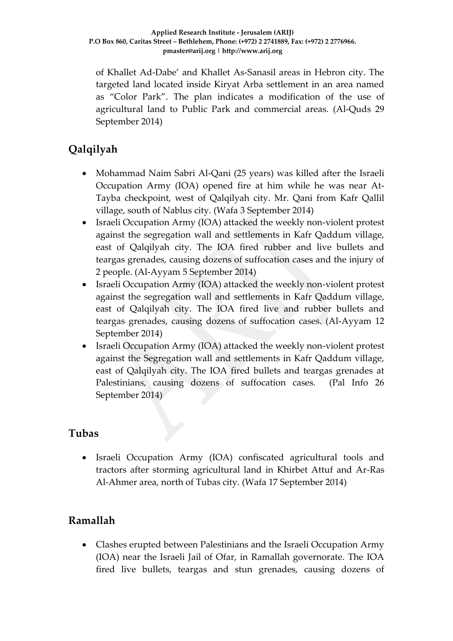of Khallet Ad-Dabe' and Khallet As-Sanasil areas in Hebron city. The targeted land located inside Kiryat Arba settlement in an area named as "Color Park". The plan indicates a modification of the use of agricultural land to Public Park and commercial areas. (Al-Quds 29 September 2014)

# **Qalqilyah**

- Mohammad Naim Sabri Al-Qani (25 years) was killed after the Israeli Occupation Army (IOA) opened fire at him while he was near At-Tayba checkpoint, west of Qalqilyah city. Mr. Qani from Kafr Qallil village, south of Nablus city. (Wafa 3 September 2014)
- Israeli Occupation Army (IOA) attacked the weekly non-violent protest against the segregation wall and settlements in Kafr Qaddum village, east of Qalqilyah city. The IOA fired rubber and live bullets and teargas grenades, causing dozens of suffocation cases and the injury of 2 people. (Al-Ayyam 5 September 2014)
- Israeli Occupation Army (IOA) attacked the weekly non-violent protest against the segregation wall and settlements in Kafr Qaddum village, east of Qalqilyah city. The IOA fired live and rubber bullets and teargas grenades, causing dozens of suffocation cases. (Al-Ayyam 12 September 2014)
- Israeli Occupation Army (IOA) attacked the weekly non-violent protest against the Segregation wall and settlements in Kafr Qaddum village, east of Qalqilyah city. The IOA fired bullets and teargas grenades at Palestinians, causing dozens of suffocation cases. (Pal Info 26 September 2014)

# **Tubas**

 Israeli Occupation Army (IOA) confiscated agricultural tools and tractors after storming agricultural land in Khirbet Attuf and Ar-Ras Al-Ahmer area, north of Tubas city. (Wafa 17 September 2014)

# **Ramallah**

• Clashes erupted between Palestinians and the Israeli Occupation Army (IOA) near the Israeli Jail of Ofar, in Ramallah governorate. The IOA fired live bullets, teargas and stun grenades, causing dozens of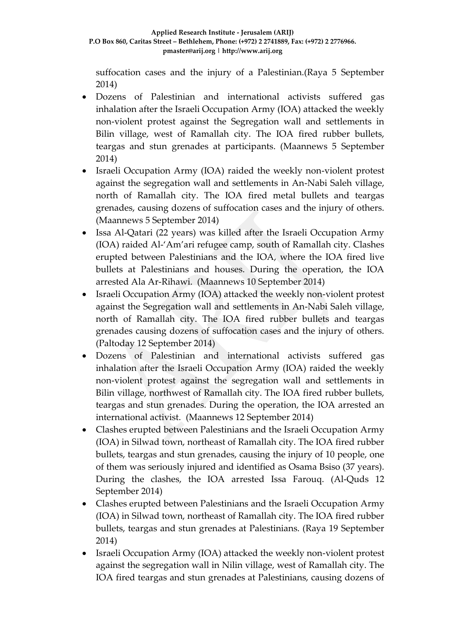suffocation cases and the injury of a Palestinian.(Raya 5 September 2014)

- Dozens of Palestinian and international activists suffered gas inhalation after the Israeli Occupation Army (IOA) attacked the weekly non-violent protest against the Segregation wall and settlements in Bilin village, west of Ramallah city. The IOA fired rubber bullets, teargas and stun grenades at participants. (Maannews 5 September 2014)
- Israeli Occupation Army (IOA) raided the weekly non-violent protest against the segregation wall and settlements in An-Nabi Saleh village, north of Ramallah city. The IOA fired metal bullets and teargas grenades, causing dozens of suffocation cases and the injury of others. (Maannews 5 September 2014)
- Issa Al-Qatari (22 years) was killed after the Israeli Occupation Army (IOA) raided Al-'Am'ari refugee camp, south of Ramallah city. Clashes erupted between Palestinians and the IOA, where the IOA fired live bullets at Palestinians and houses. During the operation, the IOA arrested Ala Ar-Rihawi. (Maannews 10 September 2014)
- Israeli Occupation Army (IOA) attacked the weekly non-violent protest against the Segregation wall and settlements in An-Nabi Saleh village, north of Ramallah city. The IOA fired rubber bullets and teargas grenades causing dozens of suffocation cases and the injury of others. (Paltoday 12 September 2014)
- Dozens of Palestinian and international activists suffered gas inhalation after the Israeli Occupation Army (IOA) raided the weekly non-violent protest against the segregation wall and settlements in Bilin village, northwest of Ramallah city. The IOA fired rubber bullets, teargas and stun grenades. During the operation, the IOA arrested an international activist. (Maannews 12 September 2014)
- Clashes erupted between Palestinians and the Israeli Occupation Army (IOA) in Silwad town, northeast of Ramallah city. The IOA fired rubber bullets, teargas and stun grenades, causing the injury of 10 people, one of them was seriously injured and identified as Osama Bsiso (37 years). During the clashes, the IOA arrested Issa Farouq. (Al-Quds 12 September 2014)
- Clashes erupted between Palestinians and the Israeli Occupation Army (IOA) in Silwad town, northeast of Ramallah city. The IOA fired rubber bullets, teargas and stun grenades at Palestinians. (Raya 19 September 2014)
- Israeli Occupation Army (IOA) attacked the weekly non-violent protest against the segregation wall in Nilin village, west of Ramallah city. The IOA fired teargas and stun grenades at Palestinians, causing dozens of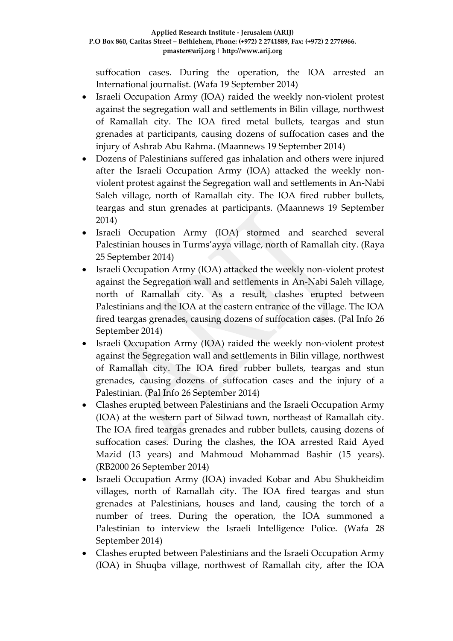suffocation cases. During the operation, the IOA arrested an International journalist. (Wafa 19 September 2014)

- Israeli Occupation Army (IOA) raided the weekly non-violent protest against the segregation wall and settlements in Bilin village, northwest of Ramallah city. The IOA fired metal bullets, teargas and stun grenades at participants, causing dozens of suffocation cases and the injury of Ashrab Abu Rahma. (Maannews 19 September 2014)
- Dozens of Palestinians suffered gas inhalation and others were injured after the Israeli Occupation Army (IOA) attacked the weekly nonviolent protest against the Segregation wall and settlements in An-Nabi Saleh village, north of Ramallah city. The IOA fired rubber bullets, teargas and stun grenades at participants. (Maannews 19 September 2014)
- Israeli Occupation Army (IOA) stormed and searched several Palestinian houses in Turms'ayya village, north of Ramallah city. (Raya 25 September 2014)
- Israeli Occupation Army (IOA) attacked the weekly non-violent protest against the Segregation wall and settlements in An-Nabi Saleh village, north of Ramallah city. As a result, clashes erupted between Palestinians and the IOA at the eastern entrance of the village. The IOA fired teargas grenades, causing dozens of suffocation cases. (Pal Info 26 September 2014)
- Israeli Occupation Army (IOA) raided the weekly non-violent protest against the Segregation wall and settlements in Bilin village, northwest of Ramallah city. The IOA fired rubber bullets, teargas and stun grenades, causing dozens of suffocation cases and the injury of a Palestinian. (Pal Info 26 September 2014)
- Clashes erupted between Palestinians and the Israeli Occupation Army (IOA) at the western part of Silwad town, northeast of Ramallah city. The IOA fired teargas grenades and rubber bullets, causing dozens of suffocation cases. During the clashes, the IOA arrested Raid Ayed Mazid (13 years) and Mahmoud Mohammad Bashir (15 years). (RB2000 26 September 2014)
- Israeli Occupation Army (IOA) invaded Kobar and Abu Shukheidim villages, north of Ramallah city. The IOA fired teargas and stun grenades at Palestinians, houses and land, causing the torch of a number of trees. During the operation, the IOA summoned a Palestinian to interview the Israeli Intelligence Police. (Wafa 28 September 2014)
- Clashes erupted between Palestinians and the Israeli Occupation Army (IOA) in Shuqba village, northwest of Ramallah city, after the IOA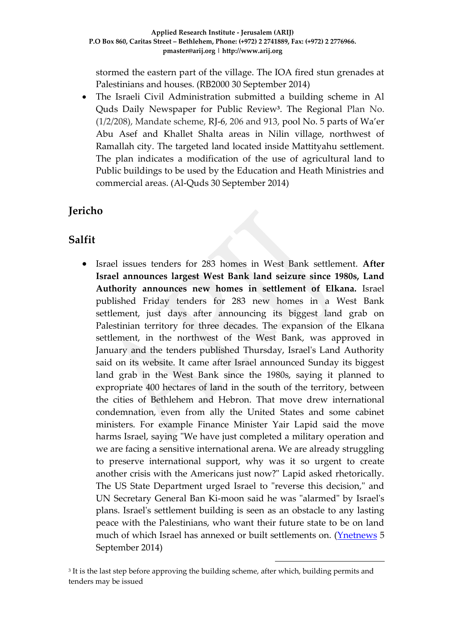stormed the eastern part of the village. The IOA fired stun grenades at Palestinians and houses. (RB2000 30 September 2014)

 The Israeli Civil Administration submitted a building scheme in Al Quds Daily Newspaper for Public Review**<sup>3</sup>** . The Regional Plan No. (1/2/208), Mandate scheme, RJ-6, 206 and 913, pool No. 5 parts of Wa'er Abu Asef and Khallet Shalta areas in Nilin village, northwest of Ramallah city. The targeted land located inside Mattityahu settlement. The plan indicates a modification of the use of agricultural land to Public buildings to be used by the Education and Heath Ministries and commercial areas. (Al-Quds 30 September 2014)

# **Jericho**

### **Salfit**

 Israel issues tenders for 283 homes in West Bank settlement. **After Israel announces largest West Bank land seizure since 1980s, Land Authority announces new homes in settlement of Elkana.** Israel published Friday tenders for 283 new homes in a West Bank settlement, just days after announcing its biggest land grab on Palestinian territory for three decades. The expansion of the Elkana settlement, in the northwest of the West Bank, was approved in January and the tenders published Thursday, Israel's Land Authority said on its website. It came after Israel announced Sunday its biggest land grab in the West Bank since the 1980s, saying it planned to expropriate 400 hectares of land in the south of the territory, between the cities of Bethlehem and Hebron. That move drew international condemnation, even from ally the United States and some cabinet ministers. For example Finance Minister Yair Lapid said the move harms Israel, saying "We have just completed a military operation and we are facing a sensitive international arena. We are already struggling to preserve international support, why was it so urgent to create another crisis with the Americans just now?" Lapid asked rhetorically. The US State Department urged Israel to "reverse this decision," and UN Secretary General Ban Ki-moon said he was "alarmed" by Israel's plans. Israel's settlement building is seen as an obstacle to any lasting peace with the Palestinians, who want their future state to be on land much of which Israel has annexed or built settlements on. ( $Y$ netnews 5 September 2014)

1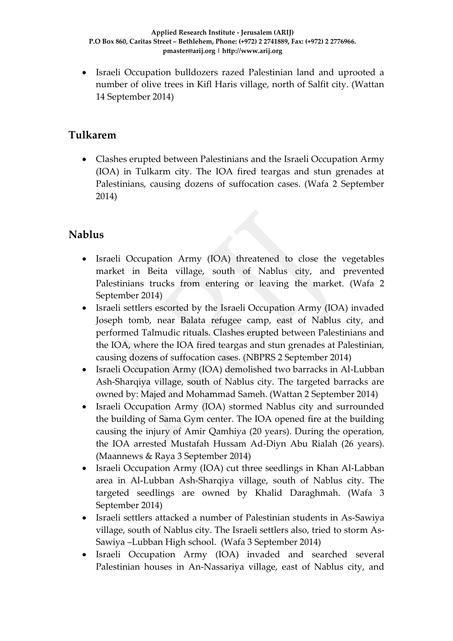Israeli Occupation bulldozers razed Palestinian land and uprooted a number of olive trees in Kifl Haris village, north of Salfit city. (Wattan 14 September 2014)

# **Tulkarem**

 Clashes erupted between Palestinians and the Israeli Occupation Army (IOA) in Tulkarm city. The IOA fired teargas and stun grenades at Palestinians, causing dozens of suffocation cases. (Wafa 2 September 2014)

# **Nablus**

- Israeli Occupation Army (IOA) threatened to close the vegetables market in Beita village, south of Nablus city, and prevented Palestinians trucks from entering or leaving the market. (Wafa 2 September 2014)
- Israeli settlers escorted by the Israeli Occupation Army (IOA) invaded Joseph tomb, near Balata refugee camp, east of Nablus city, and performed Talmudic rituals. Clashes erupted between Palestinians and the IOA, where the IOA fired teargas and stun grenades at Palestinian, causing dozens of suffocation cases. (NBPRS 2 September 2014)
- Israeli Occupation Army (IOA) demolished two barracks in Al-Lubban Ash-Sharqiya village, south of Nablus city. The targeted barracks are owned by: Majed and Mohammad Sameh. (Wattan 2 September 2014)
- Israeli Occupation Army (IOA) stormed Nablus city and surrounded the building of Sama Gym center. The IOA opened fire at the building causing the injury of Amir Qamhiya (20 years). During the operation, the IOA arrested Mustafah Hussam Ad-Diyn Abu Rialah (26 years). (Maannews & Raya 3 September 2014)
- Israeli Occupation Army (IOA) cut three seedlings in Khan Al-Labban area in Al-Lubban Ash-Sharqiya village, south of Nablus city. The targeted seedlings are owned by Khalid Daraghmah. (Wafa 3 September 2014)
- Israeli settlers attacked a number of Palestinian students in As-Sawiya village, south of Nablus city. The Israeli settlers also, tried to storm As-Sawiya –Lubban High school. (Wafa 3 September 2014)
- Israeli Occupation Army (IOA) invaded and searched several Palestinian houses in An-Nassariya village, east of Nablus city, and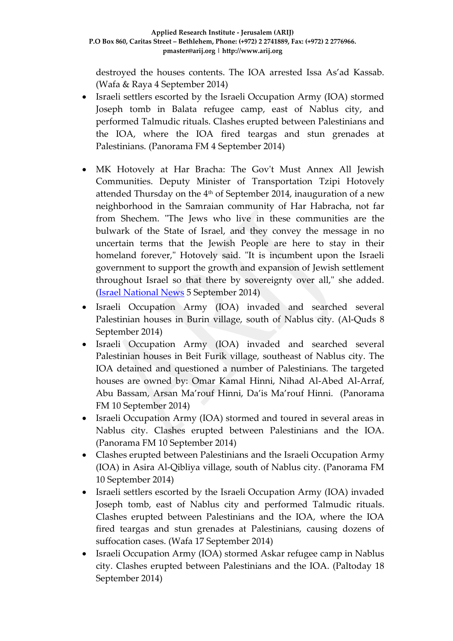destroyed the houses contents. The IOA arrested Issa As'ad Kassab. (Wafa & Raya 4 September 2014)

- Israeli settlers escorted by the Israeli Occupation Army (IOA) stormed Joseph tomb in Balata refugee camp, east of Nablus city, and performed Talmudic rituals. Clashes erupted between Palestinians and the IOA, where the IOA fired teargas and stun grenades at Palestinians. (Panorama FM 4 September 2014)
- MK Hotovely at Har Bracha: The Gov't Must Annex All Jewish Communities. Deputy Minister of Transportation Tzipi Hotovely attended Thursday on the  $4<sup>th</sup>$  of September 2014, inauguration of a new neighborhood in the Samraian community of Har Habracha, not far from Shechem. "The Jews who live in these communities are the bulwark of the State of Israel, and they convey the message in no uncertain terms that the Jewish People are here to stay in their homeland forever," Hotovely said. "It is incumbent upon the Israeli government to support the growth and expansion of Jewish settlement throughout Israel so that there by sovereignty over all," she added. [\(Israel National News](http://www.israelnationalnews.com/News/Flash.aspx/303593) 5 September 2014)
- Israeli Occupation Army (IOA) invaded and searched several Palestinian houses in Burin village, south of Nablus city. (Al-Quds 8 September 2014)
- Israeli Occupation Army (IOA) invaded and searched several Palestinian houses in Beit Furik village, southeast of Nablus city. The IOA detained and questioned a number of Palestinians. The targeted houses are owned by: Omar Kamal Hinni, Nihad Al-Abed Al-Arraf, Abu Bassam, Arsan Ma'rouf Hinni, Da'is Ma'rouf Hinni. (Panorama FM 10 September 2014)
- Israeli Occupation Army (IOA) stormed and toured in several areas in Nablus city. Clashes erupted between Palestinians and the IOA. (Panorama FM 10 September 2014)
- Clashes erupted between Palestinians and the Israeli Occupation Army (IOA) in Asira Al-Qibliya village, south of Nablus city. (Panorama FM 10 September 2014)
- Israeli settlers escorted by the Israeli Occupation Army (IOA) invaded Joseph tomb, east of Nablus city and performed Talmudic rituals. Clashes erupted between Palestinians and the IOA, where the IOA fired teargas and stun grenades at Palestinians, causing dozens of suffocation cases. (Wafa 17 September 2014)
- Israeli Occupation Army (IOA) stormed Askar refugee camp in Nablus city. Clashes erupted between Palestinians and the IOA. (Paltoday 18 September 2014)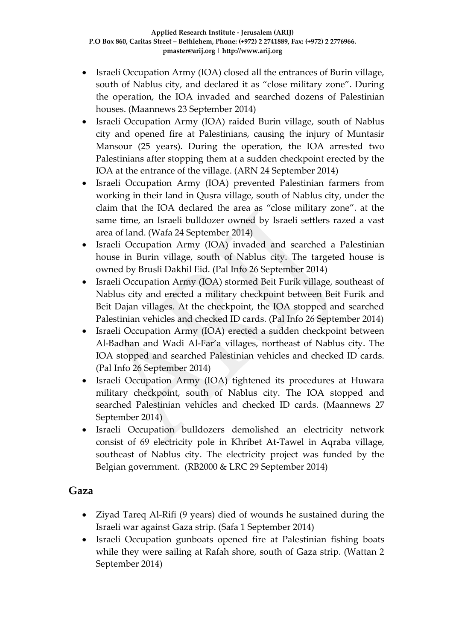- Israeli Occupation Army (IOA) closed all the entrances of Burin village, south of Nablus city, and declared it as "close military zone". During the operation, the IOA invaded and searched dozens of Palestinian houses. (Maannews 23 September 2014)
- Israeli Occupation Army (IOA) raided Burin village, south of Nablus city and opened fire at Palestinians, causing the injury of Muntasir Mansour (25 years). During the operation, the IOA arrested two Palestinians after stopping them at a sudden checkpoint erected by the IOA at the entrance of the village. (ARN 24 September 2014)
- Israeli Occupation Army (IOA) prevented Palestinian farmers from working in their land in Qusra village, south of Nablus city, under the claim that the IOA declared the area as "close military zone". at the same time, an Israeli bulldozer owned by Israeli settlers razed a vast area of land. (Wafa 24 September 2014)
- Israeli Occupation Army (IOA) invaded and searched a Palestinian house in Burin village, south of Nablus city. The targeted house is owned by Brusli Dakhil Eid. (Pal Info 26 September 2014)
- Israeli Occupation Army (IOA) stormed Beit Furik village, southeast of Nablus city and erected a military checkpoint between Beit Furik and Beit Dajan villages. At the checkpoint, the IOA stopped and searched Palestinian vehicles and checked ID cards. (Pal Info 26 September 2014)
- Israeli Occupation Army (IOA) erected a sudden checkpoint between Al-Badhan and Wadi Al-Far'a villages, northeast of Nablus city. The IOA stopped and searched Palestinian vehicles and checked ID cards. (Pal Info 26 September 2014)
- Israeli Occupation Army (IOA) tightened its procedures at Huwara military checkpoint, south of Nablus city. The IOA stopped and searched Palestinian vehicles and checked ID cards. (Maannews 27 September 2014)
- Israeli Occupation bulldozers demolished an electricity network consist of 69 electricity pole in Khribet At-Tawel in Aqraba village, southeast of Nablus city. The electricity project was funded by the Belgian government. (RB2000 & LRC 29 September 2014)

### **Gaza**

- Ziyad Tareq Al-Rifi (9 years) died of wounds he sustained during the Israeli war against Gaza strip. (Safa 1 September 2014)
- Israeli Occupation gunboats opened fire at Palestinian fishing boats while they were sailing at Rafah shore, south of Gaza strip. (Wattan 2 September 2014)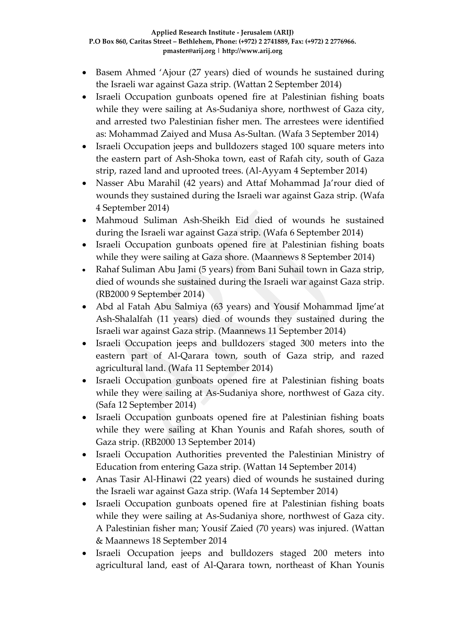- Basem Ahmed 'Ajour (27 years) died of wounds he sustained during the Israeli war against Gaza strip. (Wattan 2 September 2014)
- Israeli Occupation gunboats opened fire at Palestinian fishing boats while they were sailing at As-Sudaniya shore, northwest of Gaza city, and arrested two Palestinian fisher men. The arrestees were identified as: Mohammad Zaiyed and Musa As-Sultan. (Wafa 3 September 2014)
- Israeli Occupation jeeps and bulldozers staged 100 square meters into the eastern part of Ash-Shoka town, east of Rafah city, south of Gaza strip, razed land and uprooted trees. (Al-Ayyam 4 September 2014)
- Nasser Abu Marahil (42 years) and Attaf Mohammad Ja'rour died of wounds they sustained during the Israeli war against Gaza strip. (Wafa 4 September 2014)
- Mahmoud Suliman Ash-Sheikh Eid died of wounds he sustained during the Israeli war against Gaza strip. (Wafa 6 September 2014)
- Israeli Occupation gunboats opened fire at Palestinian fishing boats while they were sailing at Gaza shore. (Maannews 8 September 2014)
- Rahaf Suliman Abu Jami (5 years) from Bani Suhail town in Gaza strip, died of wounds she sustained during the Israeli war against Gaza strip. (RB2000 9 September 2014)
- Abd al Fatah Abu Salmiya (63 years) and Yousif Mohammad Ijme'at Ash-Shalalfah (11 years) died of wounds they sustained during the Israeli war against Gaza strip. (Maannews 11 September 2014)
- Israeli Occupation jeeps and bulldozers staged 300 meters into the eastern part of Al-Qarara town, south of Gaza strip, and razed agricultural land. (Wafa 11 September 2014)
- Israeli Occupation gunboats opened fire at Palestinian fishing boats while they were sailing at As-Sudaniya shore, northwest of Gaza city. (Safa 12 September 2014)
- Israeli Occupation gunboats opened fire at Palestinian fishing boats while they were sailing at Khan Younis and Rafah shores, south of Gaza strip. (RB2000 13 September 2014)
- Israeli Occupation Authorities prevented the Palestinian Ministry of Education from entering Gaza strip. (Wattan 14 September 2014)
- Anas Tasir Al-Hinawi (22 years) died of wounds he sustained during the Israeli war against Gaza strip. (Wafa 14 September 2014)
- Israeli Occupation gunboats opened fire at Palestinian fishing boats while they were sailing at As-Sudaniya shore, northwest of Gaza city. A Palestinian fisher man; Yousif Zaied (70 years) was injured. (Wattan & Maannews 18 September 2014
- Israeli Occupation jeeps and bulldozers staged 200 meters into agricultural land, east of Al-Qarara town, northeast of Khan Younis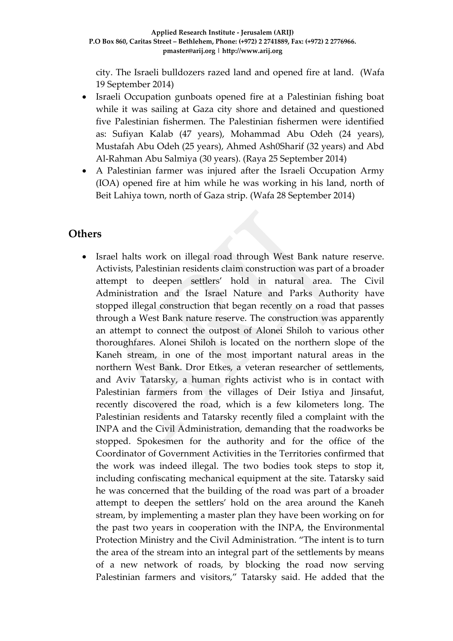city. The Israeli bulldozers razed land and opened fire at land. (Wafa 19 September 2014)

- Israeli Occupation gunboats opened fire at a Palestinian fishing boat while it was sailing at Gaza city shore and detained and questioned five Palestinian fishermen. The Palestinian fishermen were identified as: Sufiyan Kalab (47 years), Mohammad Abu Odeh (24 years), Mustafah Abu Odeh (25 years), Ahmed Ash0Sharif (32 years) and Abd Al-Rahman Abu Salmiya (30 years). (Raya 25 September 2014)
- A Palestinian farmer was injured after the Israeli Occupation Army (IOA) opened fire at him while he was working in his land, north of Beit Lahiya town, north of Gaza strip. (Wafa 28 September 2014)

### **Others**

 Israel halts work on illegal road through West Bank nature reserve. Activists, Palestinian residents claim construction was part of a broader attempt to deepen settlers' hold in natural area. The Civil Administration and the Israel Nature and Parks Authority have stopped illegal construction that began recently on a road that passes through a West Bank nature reserve. The construction was apparently an attempt to connect the outpost of Alonei Shiloh to various other thoroughfares. Alonei Shiloh is located on the northern slope of the Kaneh stream, in one of the most important natural areas in the northern West Bank. Dror Etkes, a veteran researcher of settlements, and Aviv Tatarsky, a human rights activist who is in contact with Palestinian farmers from the villages of Deir Istiya and Jinsafut, recently discovered the road, which is a few kilometers long. The Palestinian residents and Tatarsky recently filed a complaint with the INPA and the Civil Administration, demanding that the roadworks be stopped. Spokesmen for the authority and for the office of the Coordinator of Government Activities in the Territories confirmed that the work was indeed illegal. The two bodies took steps to stop it, including confiscating mechanical equipment at the site. Tatarsky said he was concerned that the building of the road was part of a broader attempt to deepen the settlers' hold on the area around the Kaneh stream, by implementing a master plan they have been working on for the past two years in cooperation with the INPA, the Environmental Protection Ministry and the Civil Administration. "The intent is to turn the area of the stream into an integral part of the settlements by means of a new network of roads, by blocking the road now serving Palestinian farmers and visitors," Tatarsky said. He added that the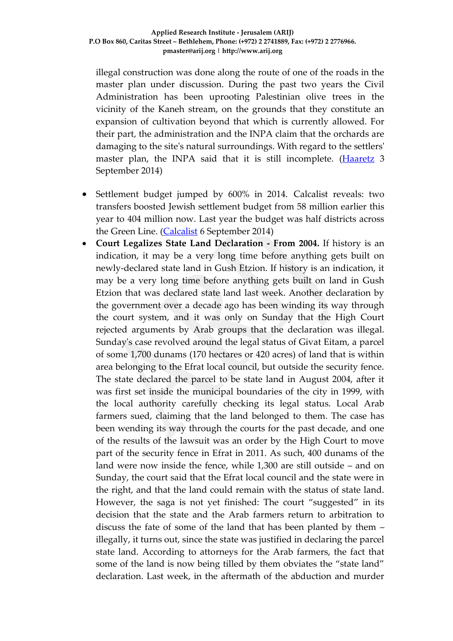illegal construction was done along the route of one of the roads in the master plan under discussion. During the past two years the Civil Administration has been uprooting Palestinian olive trees in the vicinity of the Kaneh stream, on the grounds that they constitute an expansion of cultivation beyond that which is currently allowed. For their part, the administration and the INPA claim that the orchards are damaging to the site's natural surroundings. With regard to the settlers' master plan, the INPA said that it is still incomplete. [\(Haaretz](http://www.haaretz.com/news/diplomacy-defense/.premium-1.613628) 3 September 2014)

- Settlement budget jumped by 600% in 2014. Calcalist reveals: two transfers boosted Jewish settlement budget from 58 million earlier this year to 404 million now. Last year the budget was half districts across the Green Line. [\(Calcalist](http://www.calcalist.co.il/local/articles/0,7340,L-3639958,00.html) 6 September 2014)
- **Court Legalizes State Land Declaration - From 2004.** If history is an indication, it may be a very long time before anything gets built on newly-declared state land in Gush Etzion. If history is an indication, it may be a very long time before anything gets built on land in Gush Etzion that was declared state land last week. Another declaration by the government over a decade ago has been winding its way through the court system, and it was only on Sunday that the High Court rejected arguments by Arab groups that the declaration was illegal. Sunday's case revolved around the legal status of Givat Eitam, a parcel of some 1,700 dunams (170 hectares or 420 acres) of land that is within area belonging to the Efrat local council, but outside the security fence. The state declared the parcel to be state land in August 2004, after it was first set inside the municipal boundaries of the city in 1999, with the local authority carefully checking its legal status. Local Arab farmers sued, claiming that the land belonged to them. The case has been wending its way through the courts for the past decade, and one of the results of the lawsuit was an order by the High Court to move part of the security fence in Efrat in 2011. As such, 400 dunams of the land were now inside the fence, while 1,300 are still outside – and on Sunday, the court said that the Efrat local council and the state were in the right, and that the land could remain with the status of state land. However, the saga is not yet finished: The court "suggested" in its decision that the state and the Arab farmers return to arbitration to discuss the fate of some of the land that has been planted by them – illegally, it turns out, since the state was justified in declaring the parcel state land. According to attorneys for the Arab farmers, the fact that some of the land is now being tilled by them obviates the "state land" declaration. Last week, in the aftermath of the abduction and murder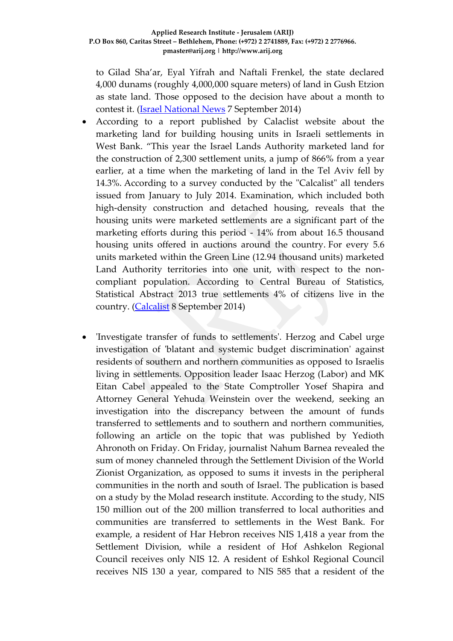to Gilad Sha'ar, Eyal Yifrah and Naftali Frenkel, the state declared 4,000 dunams (roughly 4,000,000 square meters) of land in Gush Etzion as state land. Those opposed to the decision have about a month to contest it. [\(Israel National News](http://www.israelnationalnews.com/News/News.aspx/184836) 7 September 2014)

- According to a report published by Calaclist website about the marketing land for building housing units in Israeli settlements in West Bank. "This year the Israel Lands Authority marketed land for the construction of 2,300 settlement units, a jump of 866% from a year earlier, at a time when the marketing of land in the Tel Aviv fell by 14.3%. According to a survey conducted by the "Calcalist" all tenders issued from January to July 2014. Examination, which included both high-density construction and detached housing, reveals that the housing units were marketed settlements are a significant part of the marketing efforts during this period - 14% from about 16.5 thousand housing units offered in auctions around the country. For every 5.6 units marketed within the Green Line (12.94 thousand units) marketed Land Authority territories into one unit, with respect to the noncompliant population. According to Central Bureau of Statistics, Statistical Abstract 2013 true settlements 4% of citizens live in the country. [\(Calcalist](http://www.calcalist.co.il/real_estate/articles/0,7340,L-3640189,00.html) 8 September 2014)
- 'Investigate transfer of funds to settlements'. Herzog and Cabel urge investigation of 'blatant and systemic budget discrimination' against residents of southern and northern communities as opposed to Israelis living in settlements. Opposition leader Isaac Herzog (Labor) and MK Eitan Cabel appealed to the State Comptroller Yosef Shapira and Attorney General Yehuda Weinstein over the weekend, seeking an investigation into the discrepancy between the amount of funds transferred to settlements and to southern and northern communities, following an article on the topic that was published by Yedioth Ahronoth on Friday. On Friday, journalist Nahum Barnea revealed the sum of money channeled through the Settlement Division of the World Zionist Organization, as opposed to sums it invests in the peripheral communities in the north and south of Israel. The publication is based on a study by the Molad research institute. According to the study, NIS 150 million out of the 200 million transferred to local authorities and communities are transferred to settlements in the West Bank. For example, a resident of Har Hebron receives NIS 1,418 a year from the Settlement Division, while a resident of Hof Ashkelon Regional Council receives only NIS 12. A resident of Eshkol Regional Council receives NIS 130 a year, compared to NIS 585 that a resident of the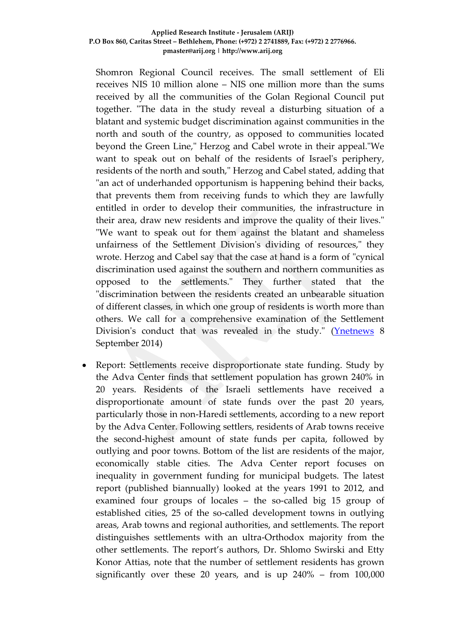Shomron Regional Council receives. The small settlement of Eli receives NIS 10 million alone – NIS one million more than the sums received by all the communities of the Golan Regional Council put together. "The data in the study reveal a disturbing situation of a blatant and systemic budget discrimination against communities in the north and south of the country, as opposed to communities located beyond the Green Line," Herzog and Cabel wrote in their appeal."We want to speak out on behalf of the residents of Israel's periphery, residents of the north and south," Herzog and Cabel stated, adding that "an act of underhanded opportunism is happening behind their backs, that prevents them from receiving funds to which they are lawfully entitled in order to develop their communities, the infrastructure in their area, draw new residents and improve the quality of their lives." "We want to speak out for them against the blatant and shameless unfairness of the Settlement Division's dividing of resources," they wrote. Herzog and Cabel say that the case at hand is a form of "cynical discrimination used against the southern and northern communities as opposed to the settlements." They further stated that the "discrimination between the residents created an unbearable situation of different classes, in which one group of residents is worth more than others. We call for a comprehensive examination of the Settlement Division's conduct that was revealed in the study." [\(Ynetnews](http://www.ynetnews.com/articles/0,7340,L-4568521,00.html) 8 September 2014)

 Report: Settlements receive disproportionate state funding. Study by the Adva Center finds that settlement population has grown 240% in 20 years. Residents of the Israeli settlements have received a disproportionate amount of state funds over the past 20 years, particularly those in non-Haredi settlements, according to a new report by the Adva Center. Following settlers, residents of Arab towns receive the second-highest amount of state funds per capita, followed by outlying and poor towns. Bottom of the list are residents of the major, economically stable cities. The Adva Center report focuses on inequality in government funding for municipal budgets. The latest report (published biannually) looked at the years 1991 to 2012, and examined four groups of locales – the so-called big 15 group of established cities, 25 of the so-called development towns in outlying areas, Arab towns and regional authorities, and settlements. The report distinguishes settlements with an ultra-Orthodox majority from the other settlements. The report's authors, Dr. Shlomo Swirski and Etty Konor Attias, note that the number of settlement residents has grown significantly over these 20 years, and is up 240% – from 100,000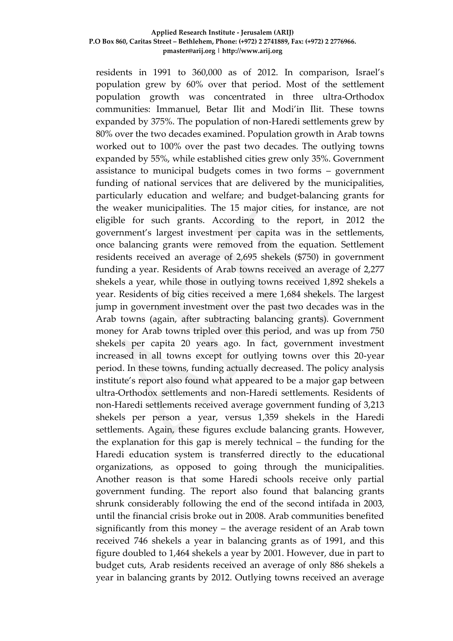residents in 1991 to 360,000 as of 2012. In comparison, Israel's population grew by 60% over that period. Most of the settlement population growth was concentrated in three ultra-Orthodox communities: Immanuel, Betar Ilit and Modi'in Ilit. These towns expanded by 375%. The population of non-Haredi settlements grew by 80% over the two decades examined. Population growth in Arab towns worked out to 100% over the past two decades. The outlying towns expanded by 55%, while established cities grew only 35%. Government assistance to municipal budgets comes in two forms – government funding of national services that are delivered by the municipalities, particularly education and welfare; and budget-balancing grants for the weaker municipalities. The 15 major cities, for instance, are not eligible for such grants. According to the report, in 2012 the government's largest investment per capita was in the settlements, once balancing grants were removed from the equation. Settlement residents received an average of 2,695 shekels (\$750) in government funding a year. Residents of Arab towns received an average of 2,277 shekels a year, while those in outlying towns received 1,892 shekels a year. Residents of big cities received a mere 1,684 shekels. The largest jump in government investment over the past two decades was in the Arab towns (again, after subtracting balancing grants). Government money for Arab towns tripled over this period, and was up from 750 shekels per capita 20 years ago. In fact, government investment increased in all towns except for outlying towns over this 20-year period. In these towns, funding actually decreased. The policy analysis institute's report also found what appeared to be a major gap between ultra-Orthodox settlements and non-Haredi settlements. Residents of non-Haredi settlements received average government funding of 3,213 shekels per person a year, versus 1,359 shekels in the Haredi settlements. Again, these figures exclude balancing grants. However, the explanation for this gap is merely technical – the funding for the Haredi education system is transferred directly to the educational organizations, as opposed to going through the municipalities. Another reason is that some Haredi schools receive only partial government funding. The report also found that balancing grants shrunk considerably following the end of the second intifada in 2003, until the financial crisis broke out in 2008. Arab communities benefited significantly from this money – the average resident of an Arab town received 746 shekels a year in balancing grants as of 1991, and this figure doubled to 1,464 shekels a year by 2001. However, due in part to budget cuts, Arab residents received an average of only 886 shekels a year in balancing grants by 2012. Outlying towns received an average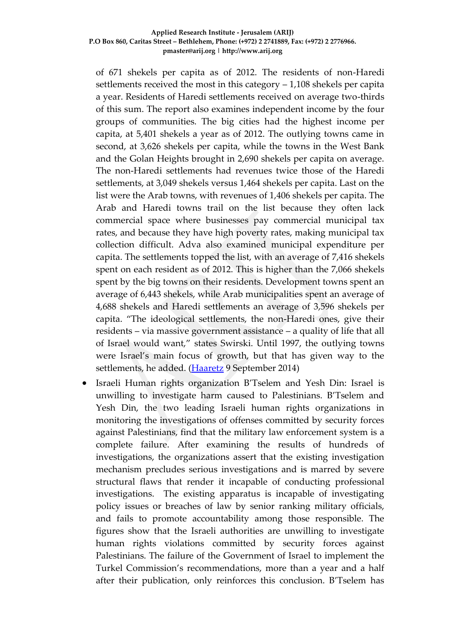of 671 shekels per capita as of 2012. The residents of non-Haredi settlements received the most in this category – 1,108 shekels per capita a year. Residents of Haredi settlements received on average two-thirds of this sum. The report also examines independent income by the four groups of communities. The big cities had the highest income per capita, at 5,401 shekels a year as of 2012. The outlying towns came in second, at 3,626 shekels per capita, while the towns in the West Bank and the Golan Heights brought in 2,690 shekels per capita on average. The non-Haredi settlements had revenues twice those of the Haredi settlements, at 3,049 shekels versus 1,464 shekels per capita. Last on the list were the Arab towns, with revenues of 1,406 shekels per capita. The Arab and Haredi towns trail on the list because they often lack commercial space where businesses pay commercial municipal tax rates, and because they have high poverty rates, making municipal tax collection difficult. Adva also examined municipal expenditure per capita. The settlements topped the list, with an average of 7,416 shekels spent on each resident as of 2012. This is higher than the 7,066 shekels spent by the big towns on their residents. Development towns spent an average of 6,443 shekels, while Arab municipalities spent an average of 4,688 shekels and Haredi settlements an average of 3,596 shekels per capita. "The ideological settlements, the non-Haredi ones, give their residents – via massive government assistance – a quality of life that all of Israel would want," states Swirski. Until 1997, the outlying towns were Israel's main focus of growth, but that has given way to the settlements, he added. [\(Haaretz](http://www.haaretz.com/business/.premium-1.614765) 9 September 2014)

 Israeli Human rights organization B'Tselem and Yesh Din: Israel is unwilling to investigate harm caused to Palestinians. B'Tselem and Yesh Din, the two leading Israeli human rights organizations in monitoring the investigations of offenses committed by security forces against Palestinians, find that the military law enforcement system is a complete failure. After examining the results of hundreds of investigations, the organizations assert that the existing investigation mechanism precludes serious investigations and is marred by severe structural flaws that render it incapable of conducting professional investigations. The existing apparatus is incapable of investigating policy issues or breaches of law by senior ranking military officials, and fails to promote accountability among those responsible. The figures show that the Israeli authorities are unwilling to investigate human rights violations committed by security forces against Palestinians. The failure of the Government of Israel to implement the Turkel Commission's recommendations, more than a year and a half after their publication, only reinforces this conclusion. B'Tselem has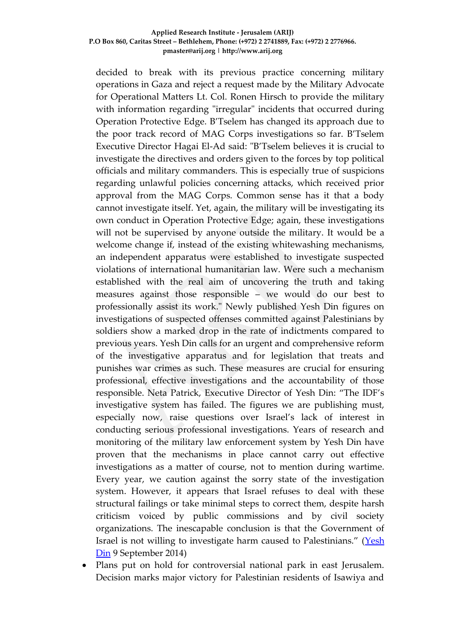decided to break with its previous practice concerning military operations in Gaza and reject a request made by the Military Advocate for Operational Matters Lt. Col. Ronen Hirsch to provide the military with information regarding "irregular" incidents that occurred during Operation Protective Edge. B'Tselem has changed its approach due to the poor track record of MAG Corps investigations so far. B'Tselem Executive Director Hagai El-Ad said: "B'Tselem believes it is crucial to investigate the directives and orders given to the forces by top political officials and military commanders. This is especially true of suspicions regarding unlawful policies concerning attacks, which received prior approval from the MAG Corps. Common sense has it that a body cannot investigate itself. Yet, again, the military will be investigating its own conduct in Operation Protective Edge; again, these investigations will not be supervised by anyone outside the military. It would be a welcome change if, instead of the existing whitewashing mechanisms, an independent apparatus were established to investigate suspected violations of international humanitarian law. Were such a mechanism established with the real aim of uncovering the truth and taking measures against those responsible – we would do our best to professionally assist its work." Newly published Yesh Din figures on investigations of suspected offenses committed against Palestinians by soldiers show a marked drop in the rate of indictments compared to previous years. Yesh Din calls for an urgent and comprehensive reform of the investigative apparatus and for legislation that treats and punishes war crimes as such. These measures are crucial for ensuring professional, effective investigations and the accountability of those responsible. Neta Patrick, Executive Director of Yesh Din: "The IDF's investigative system has failed. The figures we are publishing must, especially now, raise questions over Israel's lack of interest in conducting serious professional investigations. Years of research and monitoring of the military law enforcement system by Yesh Din have proven that the mechanisms in place cannot carry out effective investigations as a matter of course, not to mention during wartime. Every year, we caution against the sorry state of the investigation system. However, it appears that Israel refuses to deal with these structural failings or take minimal steps to correct them, despite harsh criticism voiced by public commissions and by civil society organizations. The inescapable conclusion is that the Government of Israel is not willing to investigate harm caused to Palestinians." (Yesh [Din](http://www.yesh-din.org/postview.asp?postid=283) 9 September 2014)

 Plans put on hold for controversial national park in east Jerusalem. Decision marks major victory for Palestinian residents of Isawiya and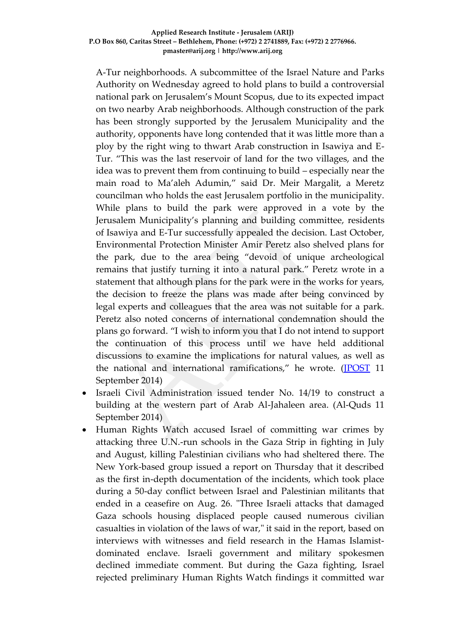A-Tur neighborhoods. A subcommittee of the Israel Nature and Parks Authority on Wednesday agreed to hold plans to build a controversial national park on Jerusalem's Mount Scopus, due to its expected impact on two nearby Arab neighborhoods. Although construction of the park has been strongly supported by the Jerusalem Municipality and the authority, opponents have long contended that it was little more than a ploy by the right wing to thwart Arab construction in Isawiya and E-Tur. "This was the last reservoir of land for the two villages, and the idea was to prevent them from continuing to build – especially near the main road to Ma'aleh Adumin," said Dr. Meir Margalit, a Meretz councilman who holds the east Jerusalem portfolio in the municipality. While plans to build the park were approved in a vote by the Jerusalem Municipality's planning and building committee, residents of Isawiya and E-Tur successfully appealed the decision. Last October, Environmental Protection Minister Amir Peretz also shelved plans for the park, due to the area being "devoid of unique archeological remains that justify turning it into a natural park." Peretz wrote in a statement that although plans for the park were in the works for years, the decision to freeze the plans was made after being convinced by legal experts and colleagues that the area was not suitable for a park. Peretz also noted concerns of international condemnation should the plans go forward. "I wish to inform you that I do not intend to support the continuation of this process until we have held additional discussions to examine the implications for natural values, as well as the national and international ramifications," he wrote. (IPOST 11 September 2014)

- Israeli Civil Administration issued tender No. 14/19 to construct a building at the western part of Arab Al-Jahaleen area. (Al-Quds 11 September 2014)
- Human Rights Watch accused Israel of committing war crimes by attacking three U.N.-run schools in the Gaza Strip in fighting in July and August, killing Palestinian civilians who had sheltered there. The New York-based group issued a report on Thursday that it described as the first in-depth documentation of the incidents, which took place during a 50-day conflict between Israel and Palestinian militants that ended in a ceasefire on Aug. 26. "Three Israeli attacks that damaged Gaza schools housing displaced people caused numerous civilian casualties in violation of the laws of war," it said in the report, based on interviews with witnesses and field research in the Hamas Islamistdominated enclave. Israeli government and military spokesmen declined immediate comment. But during the Gaza fighting, Israel rejected preliminary Human Rights Watch findings it committed war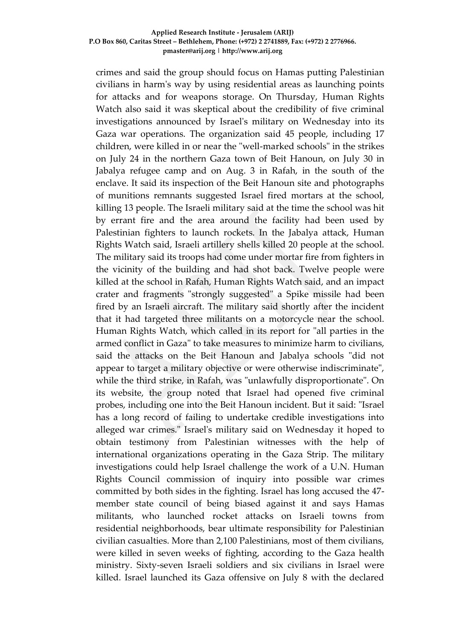crimes and said the group should focus on Hamas putting Palestinian civilians in harm's way by using residential areas as launching points for attacks and for weapons storage. On Thursday, Human Rights Watch also said it was skeptical about the credibility of five criminal investigations announced by Israel's military on Wednesday into its Gaza war operations. The organization said 45 people, including 17 children, were killed in or near the "well-marked schools" in the strikes on July 24 in the northern Gaza town of Beit Hanoun, on July 30 in Jabalya refugee camp and on Aug. 3 in Rafah, in the south of the enclave. It said its inspection of the Beit Hanoun site and photographs of munitions remnants suggested Israel fired mortars at the school, killing 13 people. The Israeli military said at the time the school was hit by errant fire and the area around the facility had been used by Palestinian fighters to launch rockets. In the Jabalya attack, Human Rights Watch said, Israeli artillery shells killed 20 people at the school. The military said its troops had come under mortar fire from fighters in the vicinity of the building and had shot back. Twelve people were killed at the school in Rafah, Human Rights Watch said, and an impact crater and fragments "strongly suggested" a Spike missile had been fired by an Israeli aircraft. The military said shortly after the incident that it had targeted three militants on a motorcycle near the school. Human Rights Watch, which called in its report for "all parties in the armed conflict in Gaza" to take measures to minimize harm to civilians, said the attacks on the Beit Hanoun and Jabalya schools "did not appear to target a military objective or were otherwise indiscriminate", while the third strike, in Rafah, was "unlawfully disproportionate". On its website, the group noted that Israel had opened five criminal probes, including one into the Beit Hanoun incident. But it said: "Israel has a long record of failing to undertake credible investigations into alleged war crimes." Israel's military said on Wednesday it hoped to obtain testimony from Palestinian witnesses with the help of international organizations operating in the Gaza Strip. The military investigations could help Israel challenge the work of a U.N. Human Rights Council commission of inquiry into possible war crimes committed by both sides in the fighting. Israel has long accused the 47 member state council of being biased against it and says Hamas militants, who launched rocket attacks on Israeli towns from residential neighborhoods, bear ultimate responsibility for Palestinian civilian casualties. More than 2,100 Palestinians, most of them civilians, were killed in seven weeks of fighting, according to the Gaza health ministry. Sixty-seven Israeli soldiers and six civilians in Israel were killed. Israel launched its Gaza offensive on July 8 with the declared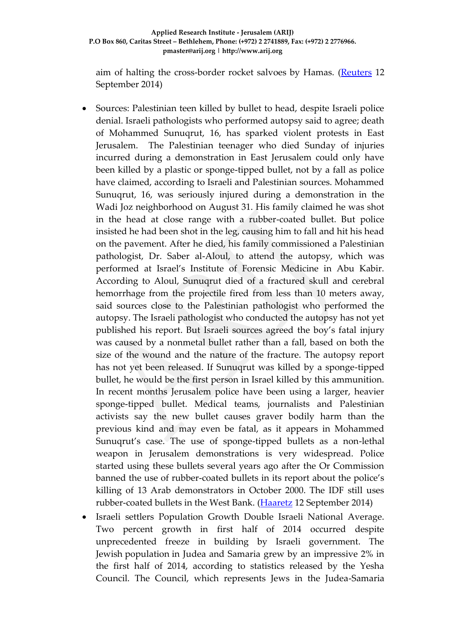aim of halting the cross-border rocket salvoes by Hamas. [\(Reuters](http://uk.reuters.com/article/2014/09/11/uk-mideast-gaza-war-idUKKBN0H60YD20140911) 12 September 2014)

- Sources: Palestinian teen killed by bullet to head, despite Israeli police denial. Israeli pathologists who performed autopsy said to agree; death of Mohammed Sunuqrut, 16, has sparked violent protests in East Jerusalem. The Palestinian teenager who died Sunday of injuries incurred during a demonstration in East Jerusalem could only have been killed by a plastic or sponge-tipped bullet, not by a fall as police have claimed, according to Israeli and Palestinian sources. Mohammed Sunuqrut, 16, was seriously injured during a demonstration in the Wadi Joz neighborhood on August 31. His family claimed he was shot in the head at close range with a rubber-coated bullet. But police insisted he had been shot in the leg, causing him to fall and hit his head on the pavement. After he died, his family commissioned a Palestinian pathologist, Dr. Saber al-Aloul, to attend the autopsy, which was performed at Israel's Institute of Forensic Medicine in Abu Kabir. According to Aloul, Sunuqrut died of a fractured skull and cerebral hemorrhage from the projectile fired from less than 10 meters away, said sources close to the Palestinian pathologist who performed the autopsy. The Israeli pathologist who conducted the autopsy has not yet published his report. But Israeli sources agreed the boy's fatal injury was caused by a nonmetal bullet rather than a fall, based on both the size of the wound and the nature of the fracture. The autopsy report has not yet been released. If Sunuqrut was killed by a sponge-tipped bullet, he would be the first person in Israel killed by this ammunition. In recent months Jerusalem police have been using a larger, heavier sponge-tipped bullet. Medical teams, journalists and Palestinian activists say the new bullet causes graver bodily harm than the previous kind and may even be fatal, as it appears in Mohammed Sunuqrut's case. The use of sponge-tipped bullets as a non-lethal weapon in Jerusalem demonstrations is very widespread. Police started using these bullets several years ago after the Or Commission banned the use of rubber-coated bullets in its report about the police's killing of 13 Arab demonstrators in October 2000. The IDF still uses rubber-coated bullets in the West Bank. [\(Haaretz](http://www.haaretz.com/news/diplomacy-defense/.premium-1.615433) 12 September 2014)
- Israeli settlers Population Growth Double Israeli National Average. Two percent growth in first half of 2014 occurred despite unprecedented freeze in building by Israeli government. The Jewish population in Judea and Samaria grew by an impressive 2% in the first half of 2014, according to statistics released by the Yesha Council. The Council, which represents Jews in the Judea-Samaria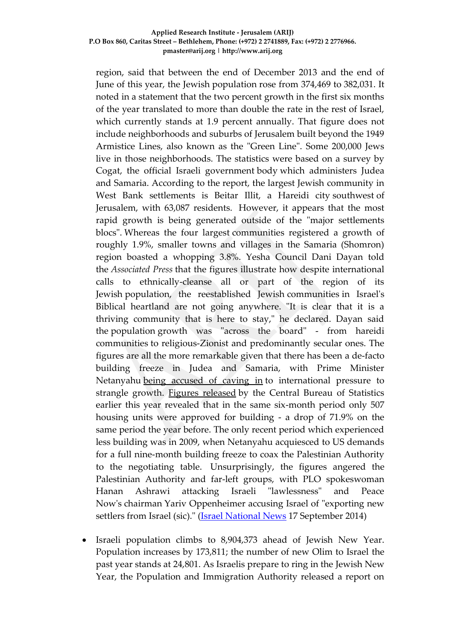region, said that between the end of December 2013 and the end of June of this year, the Jewish population rose from 374,469 to 382,031. It noted in a statement that the two percent growth in the first six months of the year translated to more than double the rate in the rest of Israel, which currently stands at 1.9 percent annually. That figure does not include neighborhoods and suburbs of Jerusalem built beyond the 1949 Armistice Lines, also known as the "Green Line". Some 200,000 Jews live in those neighborhoods. The statistics were based on a survey by Cogat, the official Israeli government body which administers Judea and Samaria. According to the report, the largest Jewish community in West Bank settlements is Beitar Illit, a Hareidi city southwest of Jerusalem, with 63,087 residents. However, it appears that the most rapid growth is being generated outside of the "major settlements blocs". Whereas the four largest communities registered a growth of roughly 1.9%, smaller towns and villages in the Samaria (Shomron) region boasted a whopping 3.8%. Yesha Council Dani Dayan told the *Associated Press* that the figures illustrate how despite international calls to ethnically-cleanse all or part of the region of its Jewish population, the reestablished Jewish communities in Israel's Biblical heartland are not going anywhere. "It is clear that it is a thriving community that is here to stay," he declared. Dayan said the population growth was "across the board" - from hareidi communities to religious-Zionist and predominantly secular ones. The figures are all the more remarkable given that there has been a de-facto building freeze in Judea and Samaria, with Prime Minister Netanyahu [being accused of caving in](http://www.israelnationalnews.com/News/News.aspx/184677) to international pressure to strangle growth. [Figures released](http://www.cbs.gov.il/hodaot2014n/04_14_235t4.pdf) by the Central Bureau of Statistics earlier this year revealed that in the same six-month period only 507 housing units were approved for building - a drop of 71.9% on the same period the year before. The only recent period which experienced less building was in 2009, when Netanyahu acquiesced to US demands for a full nine-month building freeze to coax the Palestinian Authority to the negotiating table. Unsurprisingly, the figures angered the Palestinian Authority and far-left groups, with PLO spokeswoman Hanan Ashrawi attacking Israeli "lawlessness" and Peace Now's chairman Yariv Oppenheimer accusing Israel of "exporting new settlers from Israel (sic)." (*Israel National News 17 September 2014*)

 Israeli population climbs to 8,904,373 ahead of Jewish New Year. Population increases by 173,811; the number of new Olim to Israel the past year stands at 24,801. As Israelis prepare to ring in the Jewish New Year, the Population and Immigration Authority released a report on